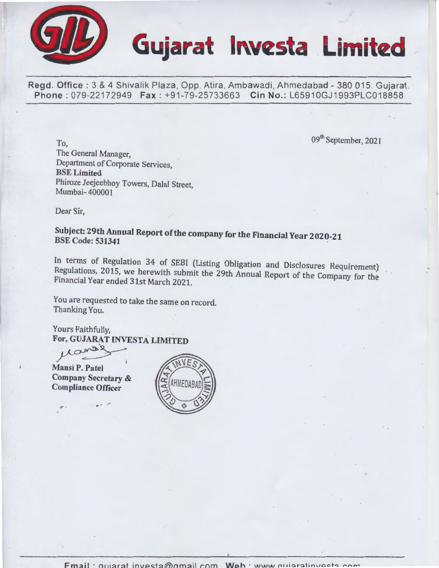

# Gujarat **Investa Limited**

Regd. Office: 3 & 4 Shivalik Plaza, Opp. Atira, Ambawadi, Ahmedabad - 380 015. Gujarat. Phone: 079-22172949 Fax: +91-79-25733663 Cin No.: L65910GJ1993PLC018858

09<sup>th</sup> September, 2021

l

To, The General Manager, Department of Corporate Services, BSE Limited Phiroze Jeejeebhoy Towers, Dalal Street, Mumbai- 400001

Dear Sir,

Subject: 29th Annual Report of the company for the Financial Year 2020-21 BSE Code: 531341 .

In terms of Regulation 34 of SEBI (Listing Obligation and Disclosures Requirement) Regulations, 2015, we herewith submit the 29th Annual Report of the Company for the Financial Year ended 31st March 2021.

You are requested to take the same on record. Thanking You.

Yours Faithfully, For, GUJARAT INVESTA LIMITED

Mansi P. Patel

Company Secretary & Compliance Officer

 $\hat{\mathbf{r}}$ .

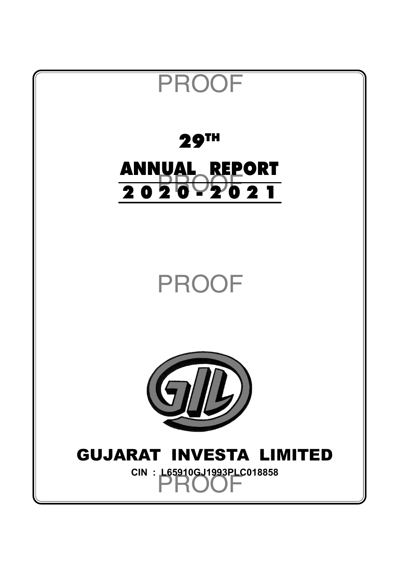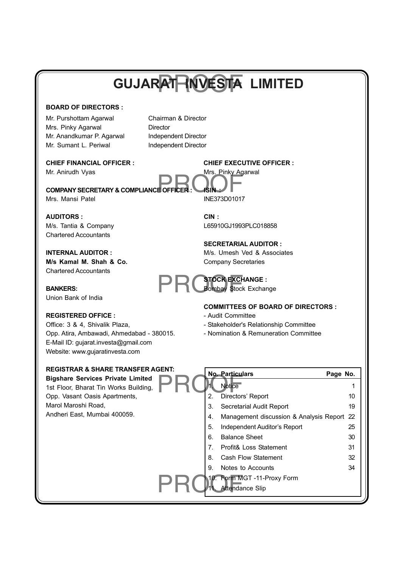# PROOF **GUJARAT INVESTA LIMITED**

## **BOARD OF DIRECTORS :**

Mr. Purshottam Agarwal Chairman & Director Mrs. Pinky Agarwal Director Mr. Anandkumar P. Agarwal Independent Director Mr. Sumant L. Periwal Independent Director

WHE ADDITION VYAS<br> **COMPANY SECRETARY & COMPLIANCE OFFICER : ISIN :**<br>
WHERE IS NOT COMPLIANCE OFFICER : **ISIN** : Mrs. Mansi Patel **INE373D01017** 

#### **AUDITORS : CIN :**

Chartered Accountants

**M/s Kamal M. Shah & Co.** Company Secretaries Chartered Accountants

**BANKERS:** BANKERS: **BANKERS:** BOMBAY STOCK EXCHANGE :<br>
Bombay Stock Exchange Union Bank of India

## **REGISTERED OFFICE :**  $\qquad \qquad -$  Audit Committee

Office: 3 & 4, Shivalik Plaza, entity and Stakeholder's Relationship Committee Opp. Atira, Ambawadi, Ahmedabad - 380015. - Nomination & Remuneration Committee E-Mail ID: gujarat.investa@gmail.com Website: www.gujaratinvesta.com

## **REGISTRAR & SHARE TRANSFER AGENT:**

**Bigshare Services Private Limited** 1st Floor, Bharat Tin Works Building, Opp. Vasant Oasis Apartments,

Marol Maroshi Road, Andheri East, Mumbai 400059.

## **CHIEF FINANCIAL OFFICER : CHIEF EXECUTIVE OFFICER :** Mr. Anirudh Vyas **Mrs. Pinky Agarwal**

M/s. Tantia & Company L65910GJ1993PLC018858

## **SECRETARIAL AUDITOR :**

**INTERNAL AUDITOR :** M/s. Umesh Ved & Associates

## **STOCK EXCHANGE :**

## **COMMITTEES OF BOARD OF DIRECTORS :**

- 
- 
- 

| JEN I. |    | <b>No. Particulars</b>                     | Page No. |    |
|--------|----|--------------------------------------------|----------|----|
|        | 1. | <b>Notice</b>                              |          |    |
|        | 2. | Directors' Report                          |          | 10 |
|        | 3. | Secretarial Audit Report                   |          | 19 |
|        | 4. | Management discussion & Analysis Report 22 |          |    |
|        | 5. | Independent Auditor's Report               |          | 25 |
|        | 6. | <b>Balance Sheet</b>                       |          | 30 |
|        | 7. | Profit& Loss Statement                     |          | 31 |
|        | 8. | <b>Cash Flow Statement</b>                 |          | 32 |
|        | 9. | Notes to Accounts                          |          | 34 |
|        |    | 10. Form MGT -11-Proxy Form                |          |    |
|        |    | 11. Attendance Slip                        |          |    |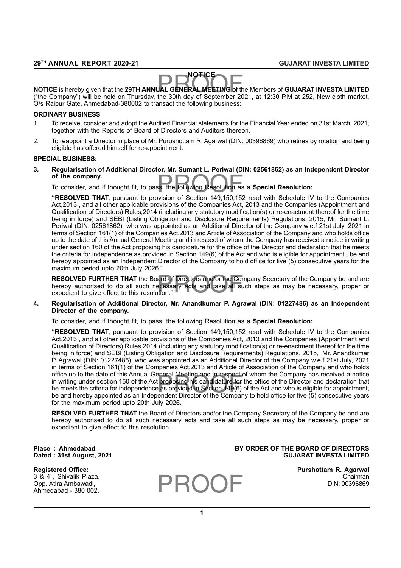#### **NOTICE**

**NOTICE**<br>NOTICE is hereby given that the 29TH ANNUAL GENERAL MEETING of the Members of GUJARAT INVESTA LIMITED<br>"the Company") will be held on Thursday, the 30th day of September 2021, at 12:30 PM at 252. New cloth market ("the Company") will be held on Thursday, the 30th day of September 2021, at 12:30 P.M at 252, New cloth market, O/s Raipur Gate, Ahmedabad-380002 to transact the following business:

#### **ORDINARY BUSINESS**

- 1. To receive, consider and adopt the Audited Financial statements for the Financial Year ended on 31st March, 2021, together with the Reports of Board of Directors and Auditors thereon.
- 2. To reappoint a Director in place of Mr. Purushottam R. Agarwal (DIN: 00396869) who retires by rotation and being eligible has offered himself for re-appointment.

#### **SPECIAL BUSINESS:**

**3. Regularisation of Additional Director, Mr. Sumant L. Periwal (DIN: 02561862) as an Independent Director of the company.**

ss, the following Resolution as To consider, and if thought fit, to pass, the following Resolution as a **Special Resolution:**

**"RESOLVED THAT,** pursuant to provision of Section 149,150,152 read with Schedule IV to the Companies Act,2013 , and all other applicable provisions of the Companies Act, 2013 and the Companies (Appointment and Qualification of Directors) Rules,2014 (including any statutory modification(s) or re-enactment thereof for the time being in force) and SEBI (Listing Obligation and Disclosure Requirements) Regulations, 2015, Mr. Sumant L. Periwal (DIN: 02561862) who was appointed as an Additional Director of the Company w.e.f 21st July, 2021 in terms of Section 161(1) of the Companies Act,2013 and Article of Association of the Company and who holds office up to the date of this Annual General Meeting and in respect of whom the Company has received a notice in writing under section 160 of the Act proposing his candidature for the office of the Director and declaration that he meets the criteria for independence as provided in Section 149(6) of the Act and who is eligible for appointment , be and hereby appointed as an Independent Director of the Company to hold office for five (5) consecutive years for the maximum period upto 20th July 2026."

**RESOLVED FURTHER THAT** the Board of Directors and/or the Company Secretary of the Company be and are hereby authorised to do all such necessary acts and take all such steps as may be necessary, proper or expedient to give hereby authorised to do all such necessary acts and take all such steps as may be necessary, proper or expedient to give effect to this resolution."

#### **4. Regularisation of Additional Director, Mr. Anandkumar P. Agrawal (DIN: 01227486) as an Independent Director of the company.**

To consider, and if thought fit, to pass, the following Resolution as a **Special Resolution:**

office up to the date of this Annual General Meeting and in respect of whom the Company has received a notice<br>in writing under section 160 of the Act proposing his candidature for the office of the Director and declaration **"RESOLVED THAT,** pursuant to provision of Section 149,150,152 read with Schedule IV to the Companies Act,2013 , and all other applicable provisions of the Companies Act, 2013 and the Companies (Appointment and Qualification of Directors) Rules,2014 (including any statutory modification(s) or re-enactment thereof for the time being in force) and SEBI (Listing Obligation and Disclosure Requirements) Regulations, 2015, Mr. Anandkumar P. Agrawal (DIN: 01227486) who was appointed as an Additional Director of the Company w.e.f 21st July, 2021 in terms of Section 161(1) of the Companies Act,2013 and Article of Association of the Company and who holds office up to the date of this Annual General Meeting and in respect of whom the Company has received a notice he meets the criteria for independence as provided in Section 149(6) of the Act and who is eligible for appointment, be and hereby appointed as an Independent Director of the Company to hold office for five (5) consecutive years for the maximum period upto 20th July 2026."

**RESOLVED FURTHER THAT** the Board of Directors and/or the Company Secretary of the Company be and are hereby authorised to do all such necessary acts and take all such steps as may be necessary, proper or expedient to give effect to this resolution.

#### Place : Ahmedabad **BY ORDER OF THE BOARD OF DIRECTORS Dated : 31st August, 2021 GUJARAT INVESTA LIMITED**

Opp. Atira Ambawadi,

Ahmedabad - 380 002.

**Registered Office: Purshottam R. Agarwal**

3 & 4 , Shivalik Plaza, Chairman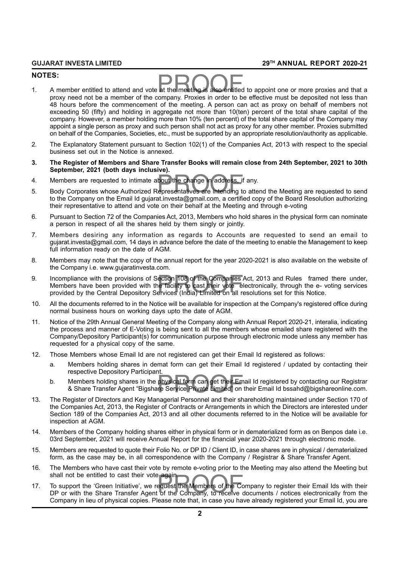#### **NOTES:**

- NOTES:<br>1. A member entitled to attend and vote at the meeting is also entitled to appoint one or more proxies and that a<br>nrops need not be a member of the company. Provincing ander to be effective must be denogited not les proxy need not be a member of the company. Proxies in order to be effective must be deposited not less than 48 hours before the commencement of the meeting. A person can act as proxy on behalf of members not exceeding 50 (fifty) and holding in aggregate not more than 10(ten) percent of the total share capital of the company. However, a member holding more than 10% (ten percent) of the total share capital of the Company may appoint a single person as proxy and such person shall not act as proxy for any other member. Proxies submitted on behalf of the Companies, Societies, etc., must be supported by an appropriate resolution/authority as applicable.
- 2. The Explanatory Statement pursuant to Section 102(1) of the Companies Act, 2013 with respect to the special business set out in the Notice is annexed.
- **3. The Register of Members and Share Transfer Books will remain close from 24th September, 2021 to 30th September, 2021 (both days inclusive).**
- 
- 4. Members are requested to intimate about the change in address, if any.<br>5. Body Corporates whose Authorized Representatives are intending to atte 5. Body Corporates whose Authorized Representatives are intending to attend the Meeting are requested to send to the Company on the Email Id gujarat.investa@gmail.com, a certified copy of the Board Resolution authorizing their representative to attend and vote on their behalf at the Meeting and through e-voting
- 6. Pursuant to Section 72 of the Companies Act, 2013, Members who hold shares in the physical form can nominate a person in respect of all the shares held by them singly or jointly.
- 7. Members desiring any information as regards to Accounts are requested to send an email to gujarat.investa@gmail.com, 14 days in advance before the date of the meeting to enable the Management to keep full information ready on the date of AGM.
- 8. Members may note that the copy of the annual report for the year 2020-2021 is also available on the website of the Company i.e. www.gujaratinvesta.com.
- Incompliance with the provisions of Section 108 of the Companies Act, 2013 and Rules framed Members have been provided with the facility to cast their vote electronically, through the e-variorided by the Central Depository 9. Incompliance with the provisions of Section 108 of the Companies Act, 2013 and Rules framed there under, Members have been provided with the facility to cast their vote electronically, through the e- voting services
- 10. All the documents referred to in the Notice will be available for inspection at the Company's registered office during normal business hours on working days upto the date of AGM.
- 11. Notice of the 29th Annual General Meeting of the Company along with Annual Report 2020-21, interalia, indicating the process and manner of E-Voting is being sent to all the members whose emailed share registered with the Company/Depository Participant(s) for communication purpose through electronic mode unless any member has requested for a physical copy of the same.
- 12. Those Members whose Email Id are not registered can get their Email Id registered as follows:
	- a. Members holding shares in demat form can get their Email Id registered / updated by contacting their respective Depository Participant.
	- respouse Bopostory Partisipant.<br>Members holding shares in the physical form can get their Email Id registered by contacting our Registrar<br>& Share Transfer Agent "Bigshare Service Private Limited" on their Email Id bssahd@b b. Members holding shares in the physical form can get their Email Id registered by contacting our Registrar
- 13. The Register of Directors and Key Managerial Personnel and their shareholding maintained under Section 170 of the Companies Act, 2013, the Register of Contracts or Arrangements in which the Directors are interested under Section 189 of the Companies Act, 2013 and all other documents referred to in the Notice will be available for inspection at AGM.
- 14. Members of the Company holding shares either in physical form or in dematerialized form as on Benpos date i.e. 03rd September, 2021 will receive Annual Report for the financial year 2020-2021 through electronic mode.
- 15. Members are requested to quote their Folio No. or DP ID / Client ID, in case shares are in physical / dematerialized form, as the case may be, in all correspondence with the Company / Registrar & Share Transfer Agent.
- 16. The Members who have cast their vote by remote e-voting prior to the Meeting may also attend the Meeting but shall not be entitled to cast their vote again.
- shall not be entitled to cast their vote again.<br>To support the 'Green Initiative', we request the Members of the Company to register their Email Ids with their<br>DP or with the Share Transfer Agent of the Company, to receive 17. To support the 'Green Initiative', we request the Members of the Company to register their Email Ids with their Company in lieu of physical copies. Please note that, in case you have already registered your Email Id, you are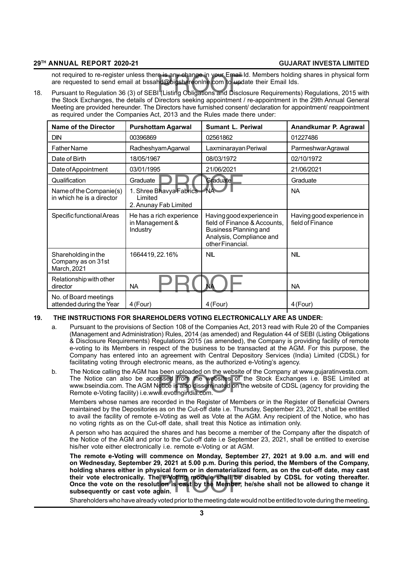not required to re-register unless there is any change in your Email Id. Members holding shares in physical form<br>are requested to send email at bssahd@bigshareonlne.com to update their Email Ids.<br>18. Pursuant to Regulation not required to re-register unless there is any change in your Email Id. Members holding shares in physical form are requested to send email at bssahd@bigshareonlne.com to update their Email Ids.

the Stock Exchanges, the details of Directors seeking appointment / re-appointment in the 29th Annual General Meeting are provided hereunder. The Directors have furnished consent/ declaration for appointment/ reappointment as required under the Companies Act, 2013 and the Rules made there under:

| <b>Name of the Director</b>                              | <b>Purshottam Agarwal</b>                                   | <b>Sumant L. Periwal</b>                                                                                                                  | Anandkumar P. Agrawal                         |
|----------------------------------------------------------|-------------------------------------------------------------|-------------------------------------------------------------------------------------------------------------------------------------------|-----------------------------------------------|
| <b>DIN</b>                                               | 00396869                                                    | 02561862                                                                                                                                  | 01227486                                      |
| <b>Father Name</b>                                       | Radheshyam Agarwal                                          | Laxminarayan Periwal                                                                                                                      | ParmeshwarAgrawal                             |
| Date of Birth                                            | 18/05/1967                                                  | 08/03/1972                                                                                                                                | 02/10/1972                                    |
| Date of Appointment                                      | 03/01/1995                                                  | 21/06/2021                                                                                                                                | 21/06/2021                                    |
| Qualification                                            | Graduate                                                    | Graduate                                                                                                                                  | Graduate                                      |
| Name of the Companie(s)<br>in which he is a director     | 1. Shree Bhavya Fabrics<br>Limited<br>2. Anunay Fab Limited | <b>NA</b>                                                                                                                                 | <b>NA</b>                                     |
| Specific functional Areas                                | He has a rich experience<br>in Management &<br>Industry     | Having good experience in<br>field of Finance & Accounts,<br><b>Business Planning and</b><br>Analysis, Compliance and<br>other Financial. | Having good experience in<br>field of Finance |
| Shareholding in the<br>Company as on 31st<br>March, 2021 | 1664419, 22.16%                                             | <b>NIL</b>                                                                                                                                | <b>NIL</b>                                    |
| Relationship with other<br>director                      | <b>NA</b>                                                   | <b>NA</b>                                                                                                                                 | <b>NA</b>                                     |
| No. of Board meetings<br>attended during the Year        | 4 (Four)                                                    | 4 (Four)                                                                                                                                  | 4 (Four)                                      |

## **19. THE INSTRUCTIONS FOR SHAREHOLDERS VOTING ELECTRONICALLY ARE AS UNDER:**

- a. Pursuant to the provisions of Section 108 of the Companies Act, 2013 read with Rule 20 of the Companies (Management and Administration) Rules, 2014 (as amended) and Regulation 44 of SEBI (Listing Obligations & Disclosure Requirements) Regulations 2015 (as amended), the Company is providing facility of remote e-voting to its Members in respect of the business to be transacted at the AGM. For this purpose, the Company has entered into an agreement with Central Depository Services (India) Limited (CDSL) for facilitating voting through electronic means, as the authorized e-Voting's agency.
- bessed from the websites of<br>botice is also disseminated on the<br>w.evotingindia.com. b. The Notice calling the AGM has been uploaded on the website of the Company at www.gujaratinvesta.com. The Notice can also be accessed from the websites of the Stock Exchanges i.e. BSE Limited at www.bseindia.com. The AGM Notice is also disseminated on the website of CDSL (agency for providing the Remote e-Voting facility) i.e.www.evotingindia.com.

Members whose names are recorded in the Register of Members or in the Register of Beneficial Owners maintained by the Depositories as on the Cut-off date i.e. Thursday, September 23, 2021, shall be entitled to avail the facility of remote e-Voting as well as Vote at the AGM. Any recipient of the Notice, who has no voting rights as on the Cut-off date, shall treat this Notice as intimation only.

A person who has acquired the shares and has become a member of the Company after the dispatch of the Notice of the AGM and prior to the Cut-off date i.e September 23, 2021, shall be entitled to exercise his/her vote either electronically i.e. remote e-Voting or at AGM.

their vote electronically. The e-Voting module shall be disabled by CDSL for voting thereafter.<br>Once the vote on the resolution is cast by the Member, he/she shall not be allowed to change it<br>subsequently or cast vote agai **The remote e-Voting will commence on Monday, September 27, 2021 at 9.00 a.m. and will end on Wednesday, September 29, 2021 at 5.00 p.m. During this period, the Members of the Company, holding shares either in physical form or in dematerialized form, as on the cut-off date, may cast Once the vote on the resolution is cast by the Member, he/she shall not be allowed to change it subsequently or cast vote again.**

Shareholders who have already voted prior to the meeting date would not be entitled to vote during the meeting.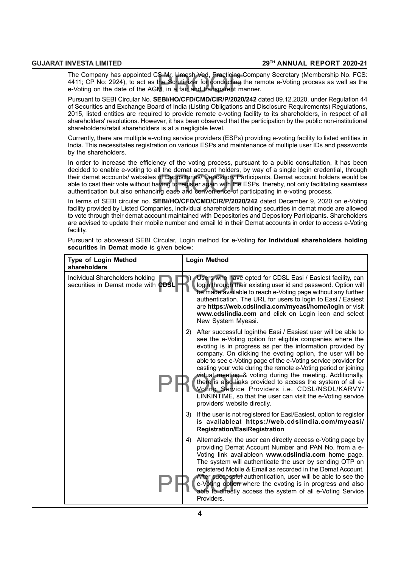S Mr. Umesh Ved, Practicing (<br>the Scrutinizer for conducting<br>M, in a fair and transparent m The Company has appointed CS Mr. Umesh Ved, Practicing Company Secretary (Membership No. FCS: 4411; CP No: 2924), to act as the Scrutinizer for conducting the remote e-Voting process as well as the e-Voting on the date of the AGM, in a fair and transparent manner.

Pursuant to SEBI Circular No. **SEBI/HO/CFD/CMD/CIR/P/2020/242** dated 09.12.2020, under Regulation 44 of Securities and Exchange Board of India (Listing Obligations and Disclosure Requirements) Regulations, 2015, listed entities are required to provide remote e-voting facility to its shareholders, in respect of all shareholders' resolutions. However, it has been observed that the participation by the public non-institutional shareholders/retail shareholders is at a negligible level.

Currently, there are multiple e-voting service providers (ESPs) providing e-voting facility to listed entities in India. This necessitates registration on various ESPs and maintenance of multiple user IDs and passwords by the shareholders.

their demat accounts/ websites of Depositories/ Depository Participants. Demat account holders would be<br>able to cast their vote without having to register again with the ESPs, thereby, not only facilitating seamless<br>authen In order to increase the efficiency of the voting process, pursuant to a public consultation, it has been decided to enable e-voting to all the demat account holders, by way of a single login credential, through able to cast their vote without having to register again with the ESPs, thereby, not only facilitating seamless authentication but also enhancing ease and convenience of participating in e-voting process.

In terms of SEBI circular no. **SEBI/HO/CFD/CMD/CIR/P/2020/242** dated December 9, 2020 on e-Voting facility provided by Listed Companies, Individual shareholders holding securities in demat mode are allowed to vote through their demat account maintained with Depositories and Depository Participants. Shareholders are advised to update their mobile number and email Id in their Demat accounts in order to access e-Voting facility.

Pursuant to abovesaid SEBI Circular, Login method for e-Voting **for Individual shareholders holding securities in Demat mode** is given below:

| <b>Type of Login Method</b><br>shareholders                           | Login Method                                                                                                                                                                                                                                                                                                                                                                                                                                                                                                                                                                                                                                                                |
|-----------------------------------------------------------------------|-----------------------------------------------------------------------------------------------------------------------------------------------------------------------------------------------------------------------------------------------------------------------------------------------------------------------------------------------------------------------------------------------------------------------------------------------------------------------------------------------------------------------------------------------------------------------------------------------------------------------------------------------------------------------------|
| Individual Shareholders holding<br>securities in Demat mode with CDSL | 1)<br>Users who have opted for CDSL Easi / Easiest facility, can<br>login through their existing user id and password. Option will<br>be made available to reach e-Voting page without any further<br>authentication. The URL for users to login to Easi / Easiest<br>are https://web.cdslindia.com/myeasi/home/login or visit<br>www.cdslindia.com and click on Login icon and select<br>New System Myeasi.                                                                                                                                                                                                                                                                |
|                                                                       | After successful loginthe Easi / Easiest user will be able to<br>2)<br>see the e-Voting option for eligible companies where the<br>evoting is in progress as per the information provided by<br>company. On clicking the evoting option, the user will be<br>able to see e-Voting page of the e-Voting service provider for<br>casting your vote during the remote e-Voting period or joining<br>virtual meeting & voting during the meeting. Additionally,<br>there is also links provided to access the system of all e-<br>Voting Service Providers i.e. CDSL/NSDL/KARVY/<br>LINKINTIME, so that the user can visit the e-Voting service<br>providers' website directly. |
|                                                                       | If the user is not registered for Easi/Easiest, option to register<br>3)<br>is availableat https://web.cdslindia.com/myeasi/<br><b>Registration/EasiRegistration</b>                                                                                                                                                                                                                                                                                                                                                                                                                                                                                                        |
|                                                                       | Alternatively, the user can directly access e-Voting page by<br>4)<br>providing Demat Account Number and PAN No. from a e-<br>Voting link availableon www.cdslindia.com home page.<br>The system will authenticate the user by sending OTP on<br>registered Mobile & Email as recorded in the Demat Account.<br>After successful authentication, user will be able to see the<br>e-Voting option where the evoting is in progress and also<br>able to directly access the system of all e-Voting Service<br>Providers.                                                                                                                                                      |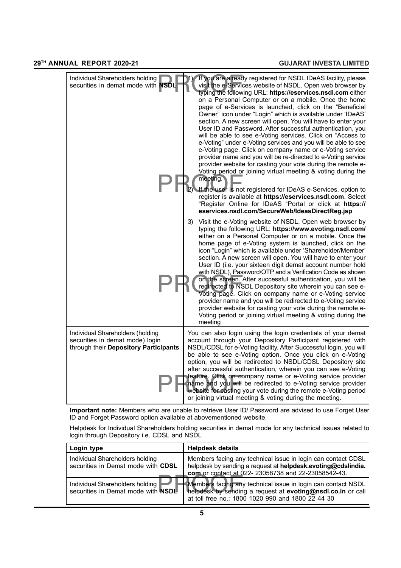| Individual Shareholders holding<br>securities in demat mode with NSDL                                        |    | If you are already registered for NSDL IDeAS facility, please<br>visit the e-Services website of NSDL. Open web browser by<br>typing the following URL: https://eservices.nsdl.com either<br>on a Personal Computer or on a mobile. Once the home<br>page of e-Services is launched, click on the "Beneficial<br>Owner" icon under "Login" which is available under 'IDeAS'<br>section. A new screen will open. You will have to enter your<br>User ID and Password. After successful authentication, you<br>will be able to see e-Voting services. Click on "Access to<br>e-Voting" under e-Voting services and you will be able to see<br>e-Voting page. Click on company name or e-Voting service<br>provider name and you will be re-directed to e-Voting service<br>provider website for casting your vote during the remote e-<br>Voting period or joining virtual meeting & voting during the<br>meeting. |
|--------------------------------------------------------------------------------------------------------------|----|------------------------------------------------------------------------------------------------------------------------------------------------------------------------------------------------------------------------------------------------------------------------------------------------------------------------------------------------------------------------------------------------------------------------------------------------------------------------------------------------------------------------------------------------------------------------------------------------------------------------------------------------------------------------------------------------------------------------------------------------------------------------------------------------------------------------------------------------------------------------------------------------------------------|
|                                                                                                              | 2) | If the user is not registered for IDeAS e-Services, option to<br>register is available at https://eservices.nsdl.com. Select<br>"Register Online for IDeAS "Portal or click at https://<br>eservices.nsdl.com/SecureWeb/IdeasDirectReg.jsp                                                                                                                                                                                                                                                                                                                                                                                                                                                                                                                                                                                                                                                                       |
|                                                                                                              | 3) | Visit the e-Voting website of NSDL. Open web browser by<br>typing the following URL: https://www.evoting.nsdl.com/<br>either on a Personal Computer or on a mobile. Once the<br>home page of e-Voting system is launched, click on the<br>icon "Login" which is available under 'Shareholder/Member'<br>section. A new screen will open. You will have to enter your<br>User ID (i.e. your sixteen digit demat account number hold<br>with NSDL), Password/OTP and a Verification Code as shown<br>on the screen. After successful authentication, you will be<br>redirected to NSDL Depository site wherein you can see e-<br>Voting page. Click on company name or e-Voting service<br>provider name and you will be redirected to e-Voting service<br>provider website for casting your vote during the remote e-<br>Voting period or joining virtual meeting & voting during the<br>meeting                  |
| Individual Shareholders (holding<br>securities in demat mode) login<br>through their Depository Participants |    | You can also login using the login credentials of your demat<br>account through your Depository Participant registered with<br>NSDL/CDSL for e-Voting facility. After Successful login, you will<br>be able to see e-Voting option. Once you click on e-Voting<br>option, you will be redirected to NSDL/CDSL Depository site<br>after successful authentication, wherein you can see e-Voting<br>feature. Click on company name or e-Voting service provider<br>name and you will be redirected to e-Voting service provider<br>website for casting your vote during the remote e-Voting period<br>or joining virtual meeting & voting during the meeting.                                                                                                                                                                                                                                                      |

**Important note:** Members who are unable to retrieve User ID/ Password are advised to use Forget User ID and Forget Password option available at abovementioned website.

Helpdesk for Individual Shareholders holding securities in demat mode for any technical issues related to login through Depository i.e. CDSL and NSDL

| Login type                                                            | <b>Helpdesk details</b>                                                                                                                                                            |
|-----------------------------------------------------------------------|------------------------------------------------------------------------------------------------------------------------------------------------------------------------------------|
| Individual Shareholders holding<br>securities in Demat mode with CDSL | Members facing any technical issue in login can contact CDSL<br>helpdesk by sending a request at helpdesk.evoting@cdslindia.<br>com or contact at 022-23058738 and 22-23058542-43. |
| Individual Shareholders holding<br>securities in Demat mode with NSDL | Members facing any technical issue in login can contact NSDL<br>helpdesk by sending a request at evoting@nsdl.co.in or call<br>at toll free no.: 1800 1020 990 and 1800 22 44 30   |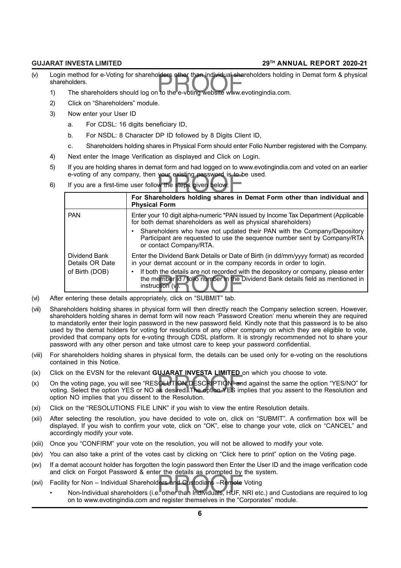- Login method for e-Voting for shareholders other than individual shareholders holding<br>shareholders.<br>1) The shareholders should log on to the e-voting website www.evotingindia.com. (v) Login method for e-Voting for shareholders other than individual shareholders holding in Demat form & physical shareholders.
	-
	- 2) Click on "Shareholders" module.
	- 3) Now enter your User ID
		- a. For CDSL: 16 digits beneficiary ID,
		- b. For NSDL: 8 Character DP ID followed by 8 Digits Client ID,
		- c. Shareholders holding shares in Physical Form should enter Folio Number registered with the Company.
	- 4) Next enter the Image Verification as displayed and Click on Login.
	- 5) If you are holding shares in demat form and had logged on to www.evotingindia.com and voted on an earlier e-voting of any company, then your existing password is to be used.
	- your existing password is to b<br>w the steps given below:<br>rehalders halding aborac in 6) If you are a first-time user follow the steps given below:

|      |                                  | For Shareholders holding shares in Demat Form other than individual and<br><b>Physical Form</b>                                                                                             |
|------|----------------------------------|---------------------------------------------------------------------------------------------------------------------------------------------------------------------------------------------|
|      | <b>PAN</b>                       | Enter your 10 digit alpha-numeric *PAN issued by Income Tax Department (Applicable<br>for both demat shareholders as well as physical shareholders)                                         |
|      |                                  | Shareholders who have not updated their PAN with the Company/Depository<br>Participant are requested to use the sequence number sent by Company/RTA<br>or contact Company/RTA.              |
|      | Dividend Bank<br>Details OR Date | Enter the Dividend Bank Details or Date of Birth (in dd/mm/yyyy format) as recorded<br>in your demat account or in the company records in order to login.                                   |
|      | of Birth (DOB)                   | If both the details are not recorded with the depository or company, please enter<br>the member id / folio number in the Dividend Bank details field as mentioned in<br>instruction $(v)$ . |
| (vi) |                                  | After entering these details appropriately, click on "SUBMIT" tab.                                                                                                                          |

- 
- (vii) Shareholders holding shares in physical form will then directly reach the Company selection screen. However, shareholders holding shares in demat form will now reach 'Password Creation' menu wherein they are required to mandatorily enter their login password in the new password field. Kindly note that this password is to be also used by the demat holders for voting for resolutions of any other company on which they are eligible to vote, provided that company opts for e-voting through CDSL platform. It is strongly recommended not to share your password with any other person and take utmost care to keep your password confidential.
- (viii) For shareholders holding shares in physical form, the details can be used only for e-voting on the resolutions contained in this Notice.
- (ix) Click on the EVSN for the relevant **GUJARAT INVESTA LIMITED** on which you choose to vote.
- SOLUTION DESCRIPTION" and desired. The option YES im (x) On the voting page, you will see "RESOLUTION DESCRIPTION" and against the same the option "YES/NO" for voting. Select the option YES or NO as desired. The option YES implies that you assent to the Resolution and option NO implies that you dissent to the Resolution.
- (xi) Click on the "RESOLUTIONS FILE LINK" if you wish to view the entire Resolution details.
- (xii) After selecting the resolution, you have decided to vote on, click on "SUBMIT". A confirmation box will be displayed. If you wish to confirm your vote, click on "OK", else to change your vote, click on "CANCEL" and accordingly modify your vote.
- (xiii) Once you "CONFIRM" your vote on the resolution, you will not be allowed to modify your vote.
- (xiv) You can also take a print of the votes cast by clicking on "Click here to print" option on the Voting page.
- (xv) If a demat account holder has forgotten the login password then Enter the User ID and the image verification code and click on Forgot Password & enter the details as prompted by the system.
- (xvi) Facility for Non Individual Shareholders and Custodians –Remote Voting
- end onon-on-ronger raceword a onter the detaile as prompted by the system.<br>Facility for Non Individual Shareholders and Custodians –Remote Voting<br>• Non-Individual shareholders (i.e. other than Individuals, HUF, NRI etc.) on to www.evotingindia.com and register themselves in the "Corporates" module.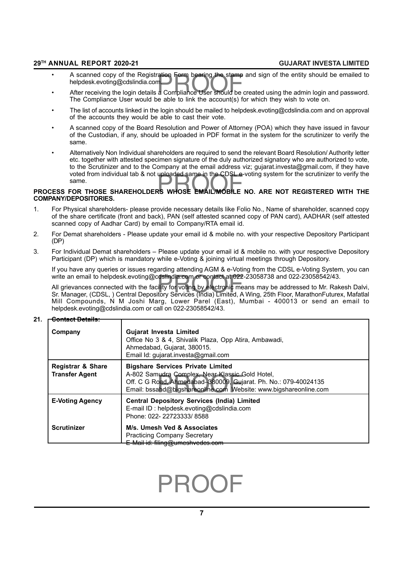- A scanned copy of the Registration Form bearing the stamp and sign of the entity should be emailed to<br>helpdesk.evoting@cdslindia.com.<br>• After receiving the login details a Compliance User should be created using the admi • A scanned copy of the Registration Form bearing the stamp and sign of the entity should be emailed to helpdesk.evoting@cdslindia.com.
- The Compliance User would be able to link the account(s) for which they wish to vote on.
- The list of accounts linked in the login should be mailed to helpdesk.evoting@cdslindia.com and on approval of the accounts they would be able to cast their vote.
- A scanned copy of the Board Resolution and Power of Attorney (POA) which they have issued in favour of the Custodian, if any, should be uploaded in PDF format in the system for the scrutinizer to verify the same.
- Voted from individual tab & not uploaded same in the CDSL e-voting system for the scrutinizer to verify the<br>same.<br>PROCESS FOR THOSE SHAREHOLDERS WHOSE EMAIL/MOBILE NO. ARE NOT REGISTERED WITH THE • Alternatively Non Individual shareholders are required to send the relevant Board Resolution/ Authority letter etc. together with attested specimen signature of the duly authorized signatory who are authorized to vote. to the Scrutinizer and to the Company at the email address viz; gujarat.investa@gmail.com, if they have voted from individual tab & not uploaded same in the CDSL e-voting system for the scrutinizer to verify the same.

## **COMPANY/DEPOSITORIES.**

- 1. For Physical shareholders- please provide necessary details like Folio No., Name of shareholder, scanned copy of the share certificate (front and back), PAN (self attested scanned copy of PAN card), AADHAR (self attested scanned copy of Aadhar Card) by email to Company/RTA email id.
- 2. For Demat shareholders Please update your email id & mobile no. with your respective Depository Participant (DP)
- 3. For Individual Demat shareholders Please update your email id & mobile no. with your respective Depository Participant (DP) which is mandatory while e-Voting & joining virtual meetings through Depository.

If you have any queries or issues regarding attending AGM & e-Voting from the CDSL e-Voting System, you can write an email to helpdesk.evoting@cdslindia.com or contact at 022-23058738 and 022-23058542/43.

write an email to helpdesk.evoting@cdslindia.com or contact at 022-23058738 and 022-23058542/43.<br>All grievances connected with the facility for voting by electronic means may be addressed to Mr. Rakesh Dalvi,<br>Sr. Manager, All grievances connected with the facility for voting by electronic means may be addressed to Mr. Rakesh Dalvi, Mill Compounds, N M Joshi Marg, Lower Parel (East), Mumbai - 400013 or send an email to helpdesk.evoting@cdslindia.com or call on 022-23058542/43.

#### **21. Contact Details:**

| Company                                               | <b>Gujarat Investa Limited</b><br>Office No 3 & 4, Shivalik Plaza, Opp Atira, Ambawadi,<br>Ahmedabad, Gujarat, 380015.<br>Email Id: gujarat.investa@gmail.com                                                                      |
|-------------------------------------------------------|------------------------------------------------------------------------------------------------------------------------------------------------------------------------------------------------------------------------------------|
| <b>Registrar &amp; Share</b><br><b>Transfer Agent</b> | <b>Bigshare Services Private Limited</b><br>A-802 Samudra Complex, Near Klassic Gold Hotel,<br>Off. C G Road, Ahmedabad-380009, Gujarat. Ph. No.: 079-40024135<br>Email: bssahd@bigshareonline.com Website: www.bigshareonline.com |
| <b>E-Voting Agency</b>                                | <b>Central Depository Services (India) Limited</b><br>E-mail ID: helpdesk.evoting@cdslindia.com<br>Phone: 022-22723333/8588                                                                                                        |
| <b>Scrutinizer</b>                                    | M/s. Umesh Ved & Associates<br><b>Practicing Company Secretary</b><br>E-Mail id: filing@umeshvedes.com                                                                                                                             |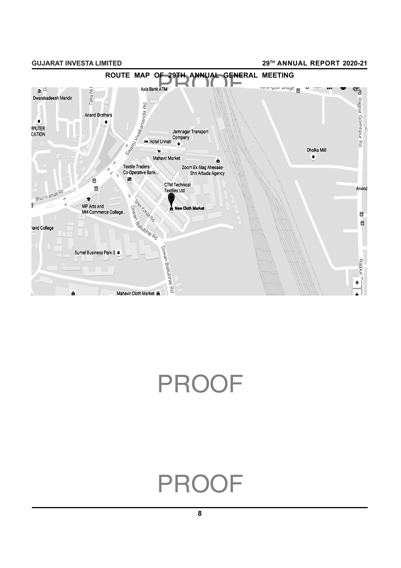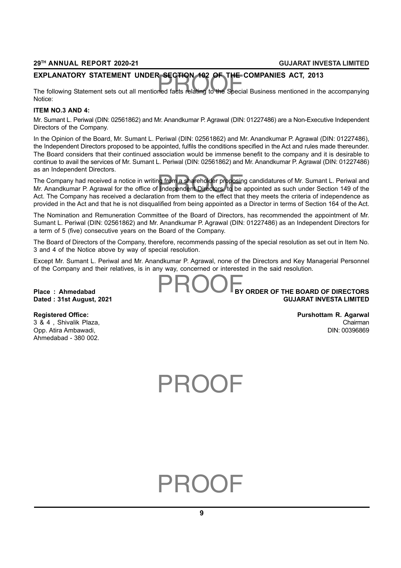### **EXPLANATORY STATEMENT UNDER SECTION 102 OF THE COMPANIES ACT, 2013**

EXPLANATORY STATEMENT UNDER SECTION 102 OF THE COMPANIES ACT, 2013<br>The following Statement sets out all mentioned facts relating to the Special Business mentioned in the accompanying Notice:

#### **ITEM NO.3 AND 4:**

Mr. Sumant L. Periwal (DIN: 02561862) and Mr. Anandkumar P. Agrawal (DIN: 01227486) are a Non-Executive Independent Directors of the Company.

In the Opinion of the Board, Mr. Sumant L. Periwal (DIN: 02561862) and Mr. Anandkumar P. Agrawal (DIN: 01227486), the Independent Directors proposed to be appointed, fulfils the conditions specified in the Act and rules made thereunder. The Board considers that their continued association would be immense benefit to the company and it is desirable to continue to avail the services of Mr. Sumant L. Periwal (DIN: 02561862) and Mr. Anandkumar P. Agrawal (DIN: 01227486) as an Independent Directors.

The Company had received a notice in writing from a shareholder proposing candidatures of Mr. Sumant L. Periwal and<br>Mr. Anandkumar P. Agrawal for the office of Independent Directors, to be appointed as such under Section 1 Mr. Anandkumar P. Agrawal for the office of Independent Directors, to be appointed as such under Section 149 of the Act. The Company has received a declaration from them to the effect that they meets the criteria of independence as provided in the Act and that he is not disqualified from being appointed as a Director in terms of Section 164 of the Act.

The Nomination and Remuneration Committee of the Board of Directors, has recommended the appointment of Mr. Sumant L. Periwal (DIN: 02561862) and Mr. Anandkumar P. Agrawal (DIN: 01227486) as an Independent Directors for a term of 5 (five) consecutive years on the Board of the Company.

The Board of Directors of the Company, therefore, recommends passing of the special resolution as set out in Item No. 3 and 4 of the Notice above by way of special resolution.

Except Mr. Sumant L. Periwal and Mr. Anandkumar P. Agrawal, none of the Directors and Key Managerial Personnel of the Company and their relatives, is in any way, concerned or interested in the said resolution.

## **PROOF**<br>Provincial Distribution of the Distribution of the Distribution of the Distribution of the Distribution of the<br>Provincial Distribution of the Distribution of the District of the District of the Distribution of the **Place : Ahmedabad BY ORDER OF THE BOARD OF DIRECTORS Dated : 31st August, 2021 GUJARAT INVESTA LIMITED**

Opp. Atira Ambawadi, Ahmedabad - 380 002.

## **Registered Office: Purshottam R. Agarwal** 3 & 4 , Shivalik Plaza, Chairman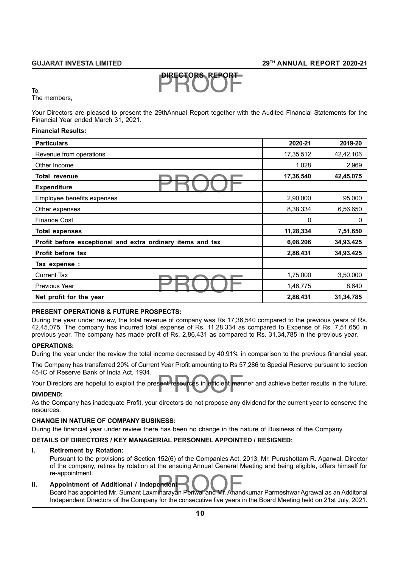# PROOF **DIRECTORS REPORT**

To,

The members,

Your Directors are pleased to present the 29thAnnual Report together with the Audited Financial Statements for the Financial Year ended March 31, 2021.

#### **Financial Results:**

| <b>Particulars</b>                                         | 2020-21   | 2019-20     |
|------------------------------------------------------------|-----------|-------------|
| Revenue from operations                                    | 17,35,512 | 42,42,106   |
| Other Income                                               | 1,028     | 2,969       |
| <b>Total revenue</b>                                       | 17,36,540 | 42,45,075   |
| <b>Expenditure</b>                                         |           |             |
| Employee benefits expenses                                 | 2,90,000  | 95,000      |
| Other expenses                                             | 8,38,334  | 6,56,650    |
| <b>Finance Cost</b>                                        | 0         | 0           |
| <b>Total expenses</b>                                      | 11,28,334 | 7,51,650    |
| Profit before exceptional and extra ordinary items and tax | 6,08,206  | 34,93,425   |
| Profit before tax                                          | 2,86,431  | 34,93,425   |
| Tax expense :                                              |           |             |
| <b>Current Tax</b>                                         | 1,75,000  | 3,50,000    |
| <b>Previous Year</b>                                       | 1,46,775  | 8,640       |
| Net profit for the year                                    | 2,86,431  | 31, 34, 785 |

#### **PRESENT OPERATIONS & FUTURE PROSPECTS:**

During the year under review, the total revenue of company was Rs 17,36,540 compared to the previous years of Rs. 42,45,075. The company has incurred total expense of Rs. 11,28,334 as compared to Expense of Rs. 7,51,650 in previous year. The company has made profit of Rs. 2,86,431 as compared to Rs. 31,34,785 in the previous year.

#### **OPERATIONS:**

During the year under the review the total income decreased by 40.91% in comparison to the previous financial year.

The Company has transferred 20% of Current Year Profit amounting to Rs 57,286 to Special Reserve pursuant to section 45-IC of Reserve Bank of India Act, 1934.

sent resources in efficient man<br> Your Directors are hopeful to exploit the present resources in efficient manner and achieve better results in the future.

#### **DIVIDEND:**

As the Company has inadequate Profit, your directors do not propose any dividend for the current year to conserve the resources.

#### **CHANGE IN NATURE OF COMPANY BUSINESS:**

During the financial year under review there has been no change in the nature of Business of the Company.

### **DETAILS OF DIRECTORS / KEY MANAGERIAL PERSONNEL APPOINTED / RESIGNED:**

#### **i. Retirement by Rotation:**

Pursuant to the provisions of Section 152(6) of the Companies Act, 2013, Mr. Purushottam R. Agarwal, Director of the company, retires by rotation at the ensuing Annual General Meeting and being eligible, offers himself for re-appointment.

#### **ii. Appointment of Additional / Independent**

re-appointment.<br><mark>Appointment of Additional / Independent</mark><br>Board has appointed Mr. Sumant Laxminarayan Periwal and Mr. Anandkumar Parmeshwar Agrawal as an Additonal Independent Directors of the Company for the consecutive five years in the Board Meeting held on 21st July, 2021.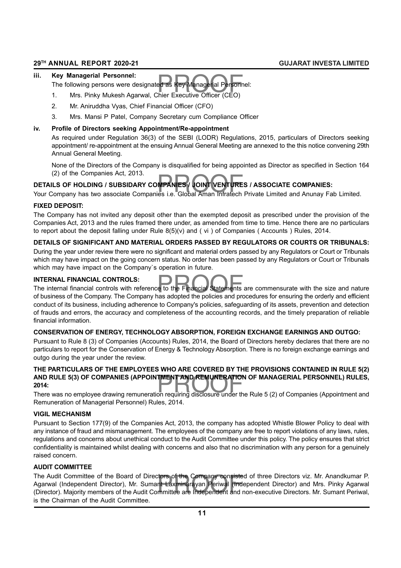#### **iii. Key Managerial Personnel:**

ed as Key Managerial Personn<br>:hier Executive Officer (CEO) The following persons were designated as Key Managerial Personnel:

- 1. Mrs. Pinky Mukesh Agarwal, Chier Executive Officer (CEO)
- 2. Mr. Aniruddha Vyas, Chief Financial Officer (CFO)
- 3. Mrs. Mansi P Patel, Company Secretary cum Compliance Officer

#### **iv. Profile of Directors seeking Appointment/Re-appointment**

As required under Regulation 36(3) of the SEBI (LODR) Regulations, 2015, particulars of Directors seeking appointment/ re-appointment at the ensuing Annual General Meeting are annexed to the this notice convening 29th Annual General Meeting.

None of the Directors of the Company is disqualified for being appointed as Director as specified in Section 164 (2) of the Companies Act, 2013.

## . (2) or the Companies Act, 2013.<br>DETAILS OF HOLDING / SUBSIDARY COMPANIES / JOINT VENTURES / ASSOCIATE COMPANIES:<br>Your Company has two associate Companies i.e. Global Aman Infratech Private Limited and Anunay Fab Limited **DETAILS OF HOLDING / SUBSIDARY COMPANIES / JOINT VENTURES / ASSOCIATE COMPANIES:**

### **FIXED DEPOSIT:**

The Company has not invited any deposit other than the exempted deposit as prescribed under the provision of the Companies Act, 2013 and the rules framed there under, as amended from time to time. Hence there are no particulars to report about the deposit falling under Rule 8(5)(v) and ( vi ) of Companies ( Accounts ) Rules, 2014.

## **DETAILS OF SIGNIFICANT AND MATERIAL ORDERS PASSED BY REGULATORS OR COURTS OR TRIBUNALS:**

During the year under review there were no significant and material orders passed by any Regulators or Court or Tribunals which may have impact on the going concern status. No order has been passed by any Regulators or Court or Tribunals which may have impact on the Company`s operation in future.

## **INTERNAL FINANCIAL CONTROLS:**

e to the Financial Statements<br>has adopted the policies and pro The internal financial controls with reference to the Financial Statements are commensurate with the size and nature of business of the Company. The Company has adopted the policies and procedures for ensuring the orderly and efficient conduct of its business, including adherence to Company's policies, safeguarding of its assets, prevention and detection of frauds and errors, the accuracy and completeness of the accounting records, and the timely preparation of reliable financial information.

## **CONSERVATION OF ENERGY, TECHNOLOGY ABSORPTION, FOREIGN EXCHANGE EARNINGS AND OUTGO:**

Pursuant to Rule 8 (3) of Companies (Accounts) Rules, 2014, the Board of Directors hereby declares that there are no particulars to report for the Conservation of Energy & Technology Absorption. There is no foreign exchange earnings and outgo during the year under the review.

## AND RULE 5(3) OF COMPANIES (APPOINTMENT AND REMUNERATION OF MANAGERIAL PERSONNEL) RULES,<br>2014:<br>There was no employee drawing remuneration requiring disclosure under the Rule 5 (2) of Companies (Appointment and **THE PARTICULARS OF THE EMPLOYEES WHO ARE COVERED BY THE PROVISIONS CONTAINED IN RULE 5(2) 2014:**

There was no employee drawing remuneration requiring disclosure under the Rule 5 (2) of Companies (Appointment and Remuneration of Managerial Personnel) Rules, 2014.

## **VIGIL MECHANISM**

Pursuant to Section 177(9) of the Companies Act, 2013, the company has adopted Whistle Blower Policy to deal with any instance of fraud and mismanagement. The employees of the company are free to report violations of any laws, rules, regulations and concerns about unethical conduct to the Audit Committee under this policy. The policy ensures that strict confidentiality is maintained whilst dealing with concerns and also that no discrimination with any person for a genuinely raised concern.

## **AUDIT COMMITTEE**

tors of the Company consiste<br>nt Laxminarayan Periwal (Inde<br>mmittee are Independent and r The Audit Committee of the Board of Directors of the Company consisted of three Directors viz. Mr. Anandkumar P. Agarwal (Independent Director), Mr. Sumant Laxminarayan Periwal (Independent Director) and Mrs. Pinky Agarwal (Director). Majority members of the Audit Committee are Independent and non-executive Directors. Mr. Sumant Periwal, is the Chairman of the Audit Committee.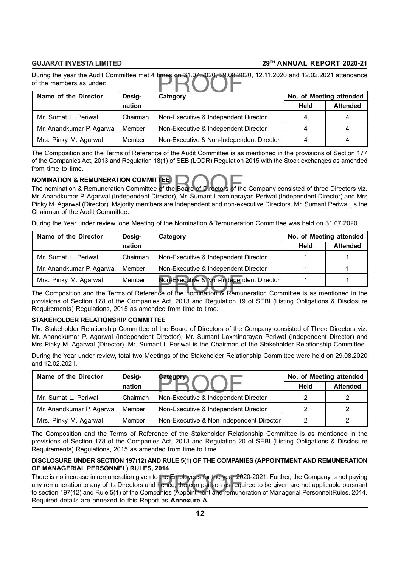During the year the Audit Committee met 4 times on 31.07.2020, 29.08.2020, 12.11.2020 and 12.02.2021 attendance<br>of the members as under:<br>Name of the Director Design Category of the members as under:

| Name of the Director      | Desig-   | Category                                 | No. of Meeting attended |                 |
|---------------------------|----------|------------------------------------------|-------------------------|-----------------|
|                           | nation   |                                          | Held                    | <b>Attended</b> |
| Mr. Sumat L. Periwal      | Chairman | Non-Executive & Independent Director     |                         | 4               |
| Mr. Anandkumar P. Agarwal | Member   | Non-Executive & Independent Director     |                         | 4               |
| Mrs. Pinky M. Agarwal     | Member   | Non-Executive & Non-Independent Director |                         | 4               |

The Composition and the Terms of Reference of the Audit Committee is as mentioned in the provisions of Section 177 of the Companies Act, 2013 and Regulation 18(1) of SEBI(LODR) Regulation 2015 with the Stock exchanges as amended from time to time.

#### **NOMINATION & REMUNERATION COMMITTEE**

NOMINATION & REMUNERATION COMMITTEE<br>The nomination & Remuneration Committee of the Board of Directors of the Company consisted of three Directors viz.<br>Mr. Anandkumar P. Aganyal (Independent Director), Mr. Sumant Laxminaray Mr. Anandkumar P. Agarwal (Independent Director), Mr. Sumant Laxminarayan Periwal (Independent Director) and Mrs Pinky M. Agarwal (Director). Majority members are Independent and non-executive Directors. Mr. Sumant Periwal, is the Chairman of the Audit Committee.

During the Year under review, one Meeting of the Nomination &Remuneration Committee was held on 31.07.2020.

| Name of the Director                                                                                         | Desig-   | Category                                 | No. of Meeting attended |                 |
|--------------------------------------------------------------------------------------------------------------|----------|------------------------------------------|-------------------------|-----------------|
|                                                                                                              | nation   |                                          | <b>Held</b>             | <b>Attended</b> |
| Mr. Sumat L. Periwal                                                                                         | Chairman | Non-Executive & Independent Director     |                         |                 |
| Mr. Anandkumar P. Agarwal                                                                                    | Member   | Non-Executive & Independent Director     |                         |                 |
| Mrs. Pinky M. Agarwal                                                                                        | Member   | Non-Executive & Non-Independent Director |                         |                 |
| The Composition and the Terms of Reference of the nomination & Remuneration Committee is as mentioned in the |          |                                          |                         |                 |

provisions of Section 178 of the Companies Act, 2013 and Regulation 19 of SEBI (Listing Obligations & Disclosure Requirements) Regulations, 2015 as amended from time to time.

#### **STAKEHOLDER RELATIONSHIP COMMITTEE**

The Stakeholder Relationship Committee of the Board of Directors of the Company consisted of Three Directors viz. Mr. Anandkumar P. Agarwal (Independent Director), Mr. Sumant Laxminarayan Periwal (Independent Director) and Mrs Pinky M. Agarwal (Director). Mr. Sumant L Periwal is the Chairman of the Stakeholder Relationship Committee.

During the Year under review, total two Meetings of the Stakeholder Relationship Committee were held on 29.08.2020 and 12.02.2021.

| Name of the Director<br>Desig- |          | Category                                 | No. of Meeting attended |                 |
|--------------------------------|----------|------------------------------------------|-------------------------|-----------------|
|                                | nation   |                                          | Held                    | <b>Attended</b> |
| Mr. Sumat L. Periwal           | Chairman | Non-Executive & Independent Director     |                         |                 |
| Mr. Anandkumar P. Agarwal      | Member   | Non-Executive & Independent Director     |                         |                 |
| Mrs. Pinky M. Agarwal          | Member   | Non-Executive & Non Independent Director |                         |                 |

The Composition and the Terms of Reference of the Stakeholder Relationship Committee is as mentioned in the provisions of Section 178 of the Companies Act, 2013 and Regulation 20 of SEBI (Listing Obligations & Disclosure Requirements) Regulations, 2015 as amended from time to time.

#### **DISCLOSURE UNDER SECTION 197(12) AND RULE 5(1) OF THE COMPANIES (APPOINTMENT AND REMUNERATION OF MANAGERIAL PERSONNEL) RULES, 2014**

There is no increase in remuneration given to the Employees for the year 2020-2021. Further, the Company is not paying<br>any remuneration to any of its Directors and hence, the comparison as required to be given are not appl There is no increase in remuneration given to the Employees for the year 2020-2021. Further, the Company is not paying any remuneration to any of its Directors and hence, the comparison as required to be given are not applicable pursuant Required details are annexed to this Report as **Annexure A.**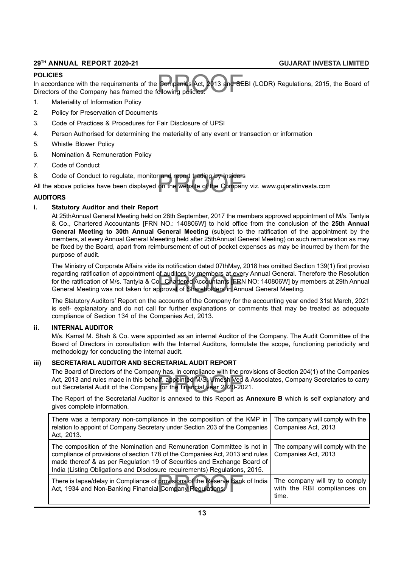#### **POLICIES**

Companies Act, 2013 and SE<br>ollowing policies: In accordance with the requirements of the Companies Act, 2013 and SEBI (LODR) Regulations, 2015, the Board of Directors of the Company has framed the following policies:

- 1. Materiality of Information Policy
- 2. Policy for Preservation of Documents
- 3. Code of Practices & Procedures for Fair Disclosure of UPSI
- 4. Person Authorised for determining the materiality of any event or transaction or information
- 5. Whistle Blower Policy
- 6. Nomination & Remuneration Policy
- 7. Code of Conduct
- 8. Code of Conduct to regulate, monitor and report trading by Insiders

r and report trading by Insiders<br>on the website of the Compar All the above policies have been displayed on the website of the Company viz. www.gujaratinvesta.com

#### **AUDITORS**

### **i. Statutory Auditor and their Report**

At 25thAnnual General Meeting held on 28th September, 2017 the members approved appointment of M/s. Tantyia & Co., Chartered Accountants [FRN NO.: 140806W] to hold office from the conclusion of the **25th Annual General Meeting to 30th Annual General Meeting** (subject to the ratification of the appointment by the members, at every Annual General Meeeting held after 25thAnnual General Meeting) on such remuneration as may be fixed by the Board, apart from reimbursement of out of pocket expenses as may be incurred by them for the purpose of audit.

or auditors by members at eve<br>b., Chartered Accountants [FRN<br>pproval of Shareholders in Anr The Ministry of Corporate Affairs vide its notification dated 07thMay, 2018 has omitted Section 139(1) first proviso regarding ratification of appointment of auditors by members at every Annual General. Therefore the Resolution for the ratification of M/s. Tantyia & Co., Chartered Accountants [FRN NO: 140806W] by members at 29th Annual General Meeting was not taken for approval of Shareholders in Annual General Meeting.

The Statutory Auditors' Report on the accounts of the Company for the accounting year ended 31st March, 2021 is self- explanatory and do not call for further explanations or comments that may be treated as adequate compliance of Section 134 of the Companies Act, 2013.

#### **ii. INTERNAL AUDITOR**

M/s. Kamal M. Shah & Co. were appointed as an internal Auditor of the Company. The Audit Committee of the Board of Directors in consultation with the Internal Auditors, formulate the scope, functioning periodicity and methodology for conducting the internal audit.

#### **iii) SECRETARIAL AUDITOR AND SECRETARIAL AUDIT REPORT**

alf, appointed M/S. Umesh Ved<br>If, appointed M/S. Umesh Ved<br>The financial year 2020-20 The Board of Directors of the Company has, in compliance with the provisions of Section 204(1) of the Companies Act, 2013 and rules made in this behalf, appointed M/S. Umesh Ved & Associates, Company Secretaries to carry out Secretarial Audit of the Company for the financial year 2020-2021.

The Report of the Secretarial Auditor is annexed to this Report as **Annexure B** which is self explanatory and gives complete information.

| There was a temporary non-compliance in the composition of the KMP in<br>relation to appoint of Company Secretary under Section 203 of the Companies<br>Act, 2013.                                                                                                                                              | The company will comply with the<br>Companies Act, 2013                |
|-----------------------------------------------------------------------------------------------------------------------------------------------------------------------------------------------------------------------------------------------------------------------------------------------------------------|------------------------------------------------------------------------|
| The composition of the Nomination and Remuneration Committee is not in<br>compliance of provisions of section 178 of the Companies Act, 2013 and rules<br>made thereof & as per Regulation 19 of Securities and Exchange Board of<br>India (Listing Obligations and Disclosure requirements) Regulations, 2015. | The company will comply with the<br>Companies Act, 2013                |
| There is lapse/delay in Compliance of provisions of the Reserve Bank of India<br>Act, 1934 and Non-Banking Financial Company Regulations.                                                                                                                                                                       | The company will try to comply<br>with the RBI compliances on<br>time. |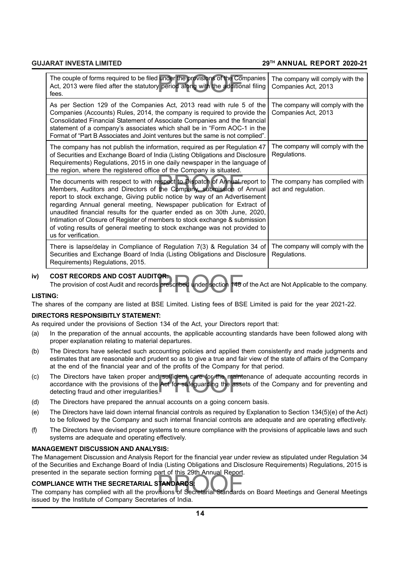| The couple of forms required to be filed under the provisions of the Companies<br>Act, 2013 were filed after the statutory period along with the additional filing<br>fees.                                                                                                                                                                                                                                                                                                                                                                                                | The company will comply with the<br>Companies Act, 2013 |
|----------------------------------------------------------------------------------------------------------------------------------------------------------------------------------------------------------------------------------------------------------------------------------------------------------------------------------------------------------------------------------------------------------------------------------------------------------------------------------------------------------------------------------------------------------------------------|---------------------------------------------------------|
| As per Section 129 of the Companies Act, 2013 read with rule 5 of the<br>Companies (Accounts) Rules, 2014, the company is required to provide the<br>Consolidated Financial Statement of Associate Companies and the financial<br>statement of a company's associates which shall be in "Form AOC-1 in the<br>Format of "Part B Associates and Joint ventures but the same is not complied".                                                                                                                                                                               | The company will comply with the<br>Companies Act, 2013 |
| The company has not publish the information, required as per Regulation 47<br>of Securities and Exchange Board of India (Listing Obligations and Disclosure<br>Requirements) Regulations, 2015 in one daily newspaper in the language of<br>the region, where the registered office of the Company is situated.                                                                                                                                                                                                                                                            | The company will comply with the<br>Regulations.        |
| The documents with respect to with respect to Dispatch of Annual report to<br>Members, Auditors and Directors of the Company, submission of Annual<br>report to stock exchange, Giving public notice by way of an Advertisement<br>regarding Annual general meeting, Newspaper publication for Extract of<br>unaudited financial results for the quarter ended as on 30th June, 2020,<br>Intimation of Closure of Register of members to stock exchange & submission<br>of voting results of general meeting to stock exchange was not provided to<br>us for verification. | The company has complied with<br>act and regulation.    |
| There is lapse/delay in Compliance of Regulation 7(3) & Regulation 34 of<br>Securities and Exchange Board of India (Listing Obligations and Disclosure<br>Requirements) Regulations, 2015.                                                                                                                                                                                                                                                                                                                                                                                 | The company will comply with the<br>Regulations.        |

#### **iv) COST RECORDS AND COST AUDITOR:**

**OR:**<br>prescribed under section 148 The provision of cost Audit and records prescribed under section 148 of the Act are Not Applicable to the company.

#### **LISTING:**

The shares of the company are listed at BSE Limited. Listing fees of BSE Limited is paid for the year 2021-22.

#### **DIRECTORS RESPONSIBITLY STATEMENT:**

As required under the provisions of Section 134 of the Act, your Directors report that:

- (a) In the preparation of the annual accounts, the applicable accounting standards have been followed along with proper explanation relating to material departures.
- (b) The Directors have selected such accounting policies and applied them consistently and made judgments and estimates that are reasonable and prudent so as to give a true and fair view of the state of affairs of the Company at the end of the financial year and of the profits of the Company for that period.
- (c) The Directors have taken proper and sufficient care for the maintenance of adequate accounting records in accordance with the provisions of the Act for safeguarding the assets of the Company and for preventing and dete accordance with the provisions of the Act for safeguarding the assets of the Company and for preventing and detecting fraud and other irregularities.
- (d) The Directors have prepared the annual accounts on a going concern basis.
- (e) The Directors have laid down internal financial controls as required by Explanation to Section 134(5)(e) of the Act) to be followed by the Company and such internal financial controls are adequate and are operating effectively.
- (f) The Directors have devised proper systems to ensure compliance with the provisions of applicable laws and such systems are adequate and operating effectively.

#### **MANAGEMENT DISCUSSION AND ANALYSIS:**

The Management Discussion and Analysis Report for the financial year under review as stipulated under Regulation 34 of the Securities and Exchange Board of India (Listing Obligations and Disclosure Requirements) Regulations, 2015 is presented in the separate section forming part of this 29th Annual Report.

#### **COMPLIANCE WITH THE SECRETARIAL STANDARDS:**

presented in the separate section forming part of this 25th Annual Report.<br>**COMPLIANCE WITH THE SECRETARIAL STANDARDS:**<br>The company has complied with all the provisions of Secretarial Standards on Board Meetings and Genera issued by the Institute of Company Secretaries of India.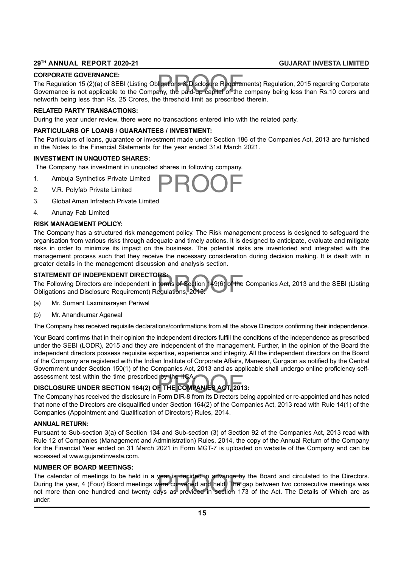#### **CORPORATE GOVERNANCE:**

**CORPORATE GOVERNANCE:**<br>The Regulation 15 (2)(a) of SEBI (Listing Obligations & Disclosure Requirements) Regulation, 2015 regarding Corporate<br>Governance is not applicable to the Company, the paid-up capital of the company The Regulation 15 (2)(a) of SEBI (Listing Obligations & Disclosure Requirements) Regulation, 2015 regarding Corporate networth being less than Rs. 25 Crores, the threshold limit as prescribed therein.

#### **RELATED PARTY TRANSACTIONS:**

During the year under review, there were no transactions entered into with the related party.

#### **PARTICULARS OF LOANS / GUARANTEES / INVESTMENT:**

The Particulars of loans, guarantee or investment made under Section 186 of the Companies Act, 2013 are furnished in the Notes to the Financial Statements for the year ended 31st March 2021.

#### **INVESTMENT IN UNQUOTED SHARES:**

The Company has investment in unquoted shares in following company.

- 1. Ambuja Synthetics Private Limited
- 2. V.R. Polyfab Private Limited
- 3. Global Aman Infratech Private Limited
- 4. Anunay Fab Limited

#### **RISK MANAGEMENT POLICY:**

The Company has a structured risk management policy. The Risk management process is designed to safeguard the organisation from various risks through adequate and timely actions. It is designed to anticipate, evaluate and mitigate risks in order to minimize its impact on the business. The potential risks are inventoried and integrated with the management process such that they receive the necessary consideration during decision making. It is dealt with in greater details in the management discussion and analysis section.

#### **STATEMENT OF INDEPENDENT DIRECTORS:**

**RS:**<br>terms of Section 149(6) of the<br>egulations, 2015: The Following Directors are independent in terms of Section 149(6) of the Companies Act, 2013 and the SEBI (Listing Obligations and Disclosure Requirement) Regulations, 2015:

- (a) Mr. Sumant Laxminarayan Periwal
- (b) Mr. Anandkumar Agarwal

The Company has received requisite declarations/confirmations from all the above Directors confirming their independence.

Your Board confirms that in their opinion the independent directors fulfill the conditions of the independence as prescribed under the SEBI (LODR), 2015 and they are independent of the management. Further, in the opinion of the Board the independent directors possess requisite expertise, experience and integrity. All the independent directors on the Board of the Company are registered with the Indian Institute of Corporate Affairs, Manesar, Gurgaon as notified by the Central Government under Section 150(1) of the Companies Act, 2013 and as applicable shall undergo online proficiency selfassessment test within the time prescribed by the IICA.

## by the IICA.<br>**F THE COMPANIES ACT, 201**<br>Form DIR-8 from its Directors b **DISCLOSURE UNDER SECTION 164(2) OF THE COMPANIES ACT, 2013:**

The Company has received the disclosure in Form DIR-8 from its Directors being appointed or re-appointed and has noted that none of the Directors are disqualified under Section 164(2) of the Companies Act, 2013 read with Rule 14(1) of the Companies (Appointment and Qualification of Directors) Rules, 2014.

#### **ANNUAL RETURN:**

Pursuant to Sub-section 3(a) of Section 134 and Sub-section (3) of Section 92 of the Companies Act, 2013 read with Rule 12 of Companies (Management and Administration) Rules, 2014, the copy of the Annual Return of the Company for the Financial Year ended on 31 March 2021 in Form MGT-7 is uploaded on website of the Company and can be accessed at www.gujaratinvesta.com.

#### **NUMBER OF BOARD MEETINGS:**

year is decided in advance by<br>vere convened and held. The g<br>ays as provided in section 17 The calendar of meetings to be held in a year is decided in advance by the Board and circulated to the Directors. During the year, 4 (Four) Board meetings were convened and held. The gap between two consecutive meetings was not more than one hundred and twenty days as provided in section 173 of the Act. The Details of Which are as under: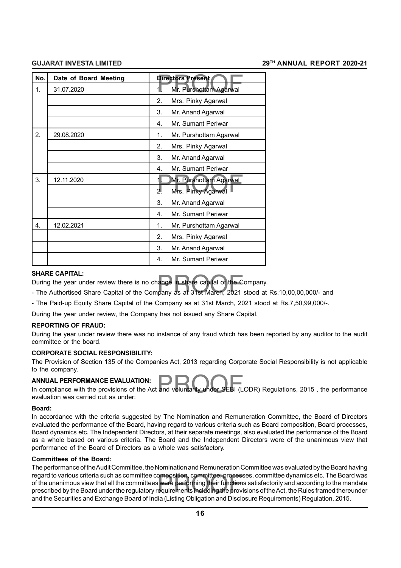| No.              | Date of Board Meeting | <b>Directors Present</b>             |  |  |
|------------------|-----------------------|--------------------------------------|--|--|
| 1.               | 31.07.2020            | Mr. Purshottam Agarwal<br>1.         |  |  |
|                  |                       | 2.<br>Mrs. Pinky Agarwal             |  |  |
|                  |                       | 3.<br>Mr. Anand Agarwal              |  |  |
|                  |                       | Mr. Sumant Periwar<br>4.             |  |  |
| 2.               | 29.08.2020            | 1.<br>Mr. Purshottam Agarwal         |  |  |
|                  |                       | 2.<br>Mrs. Pinky Agarwal             |  |  |
|                  |                       | 3.<br>Mr. Anand Agarwal              |  |  |
|                  |                       | Mr. Sumant Periwar<br>4 <sup>1</sup> |  |  |
| 3.               | 12.11.2020            | 1.<br>Mr. Purshottam Agarwal         |  |  |
|                  |                       | 2.<br>Mrs. Pinky Agarwal             |  |  |
|                  |                       | 3.<br>Mr. Anand Agarwal              |  |  |
|                  |                       | Mr. Sumant Periwar<br>4.             |  |  |
| $\overline{4}$ . | 12.02.2021            | Mr. Purshottam Agarwal<br>1.         |  |  |
|                  |                       | 2.<br>Mrs. Pinky Agarwal             |  |  |
|                  |                       | 3.<br>Mr. Anand Agarwal              |  |  |
|                  |                       | Mr. Sumant Periwar<br>4.             |  |  |

#### **SHARE CAPITAL:**

During the year under review there is no change in share capital of the Company.

SHARE CAPTIAL:<br>During the year under review there is no change in share capital of the Company.<br>- The Authortised Share Capital of the Company as at 31st March, 2021 stood at Rs.10,00,00,000/- and

- The Paid-up Equity Share Capital of the Company as at 31st March, 2021 stood at Rs.7,50,99,000/-.

During the year under review, the Company has not issued any Share Capital.

#### **REPORTING OF FRAUD:**

During the year under review there was no instance of any fraud which has been reported by any auditor to the audit committee or the board.

#### **CORPORATE SOCIAL RESPONSIBILITY:**

The Provision of Section 135 of the Companies Act, 2013 regarding Corporate Social Responsibility is not applicable to the company.

#### **ANNUAL PERFORMANCE EVALUATION:**

ANNUAL PERFORMANCE EVALUATION:<br>In compliance with the provisions of the Act and voluntarily under SEBI (LODR) Regulations, 2015, the performance evaluation was carried out as under:

#### **Board:**

In accordance with the criteria suggested by The Nomination and Remuneration Committee, the Board of Directors evaluated the performance of the Board, having regard to various criteria such as Board composition, Board processes, Board dynamics etc. The Independent Directors, at their separate meetings, also evaluated the performance of the Board as a whole based on various criteria. The Board and the Independent Directors were of the unanimous view that performance of the Board of Directors as a whole was satisfactory.

#### **Committees of the Board:**

omposition, committee, process<br>s were performing their function:<br>equirements including the provi<br>lise(Listins bilingtins and Disab The performance of the Audit Committee, the Nomination and Remuneration Committee was evaluated by the Board having regard to various criteria such as committee composition, committee, processes, committee dynamics etc. The Board was of the unanimous view that all the committees were performing their functions satisfactorily and according to the mandate prescribed by the Board under the regulatory requirements including the provisions of the Act, the Rules framed thereunder and the Securities and Exchange Board of India (Listing Obligation and Disclosure Requirements) Regulation, 2015.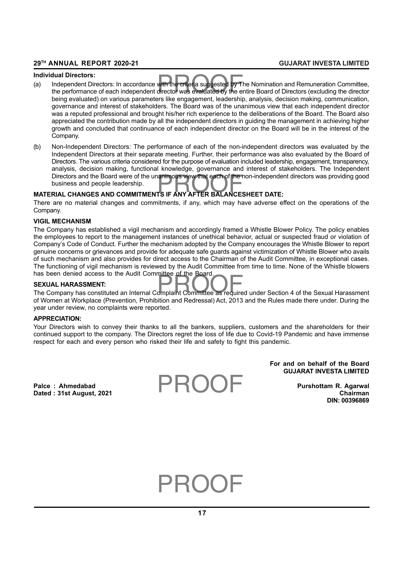#### **Individual Directors:**

- dual Directors:<br>Independent Directors: In accordance with the criteria suggested by The Nomination and Remuneration Committee,<br>the performance of each independent director was evaluated by the entire Board of Directors (ex (a) Independent Directors: In accordance with the criteria suggested by The Nomination and Remuneration Committee, being evaluated) on various parameters like engagement, leadership, analysis, decision making, communication, governance and interest of stakeholders. The Board was of the unanimous view that each independent director was a reputed professional and brought his/her rich experience to the deliberations of the Board. The Board also appreciated the contribution made by all the independent directors in guiding the management in achieving higher growth and concluded that continuance of each independent director on the Board will be in the interest of the Company.
- Directors and the Board were of the unanimous view that each of the non-independe<br>business and people leadership.<br>**MATERIAL CHANGES AND COMMITMENTS IF ANY AFTER BALANCESHEET DATE:** (b) Non-Independent Directors: The performance of each of the non-independent directors was evaluated by the Independent Directors at their separate meeting. Further, their performance was also evaluated by the Board of Directors. The various criteria considered for the purpose of evaluation included leadership, engagement, transparency, analysis, decision making, functional knowledge, governance and interest of stakeholders. The Independent Directors and the Board were of the unanimous view that each of the non-independent directors was providing good business and people leadership.

There are no material changes and commitments, if any, which may have adverse effect on the operations of the Company.

#### **VIGIL MECHANISM**

The Company has established a vigil mechanism and accordingly framed a Whistle Blower Policy. The policy enables the employees to report to the management instances of unethical behavior, actual or suspected fraud or violation of Company's Code of Conduct. Further the mechanism adopted by the Company encourages the Whistle Blower to report genuine concerns or grievances and provide for adequate safe guards against victimization of Whistle Blower who avails of such mechanism and also provides for direct access to the Chairman of the Audit Committee, in exceptional cases. The functioning of vigil mechanism is reviewed by the Audit Committee from time to time. None of the Whistle blowers has been denied access to the Audit Committee of the Board.

#### **SEXUAL HARASSMENT:**

nas been denied access to the Addit Committee of the Board.<br>**SEXUAL HARASSMENT:**<br>The Company has constituted an Internal Complaint Committee as required under Section 4 of the Sexual Harassment of Women at Workplace (Prevention, Prohibition and Redressal) Act, 2013 and the Rules made there under. During the year under review, no complaints were reported.

#### **APPRECIATION:**

Your Directors wish to convey their thanks to all the bankers, suppliers, customers and the shareholders for their continued support to the company. The Directors regret the loss of life due to Covid-19 Pandemic and have immense respect for each and every person who risked their life and safety to fight this pandemic.

> **For and on behalf of the Board GUJARAT INVESTA LIMITED**

**Dated : 31st August, 2021 Chairman**

**Palce : Ahmedabad Purshottam R. Agarwal DIN: 00396869**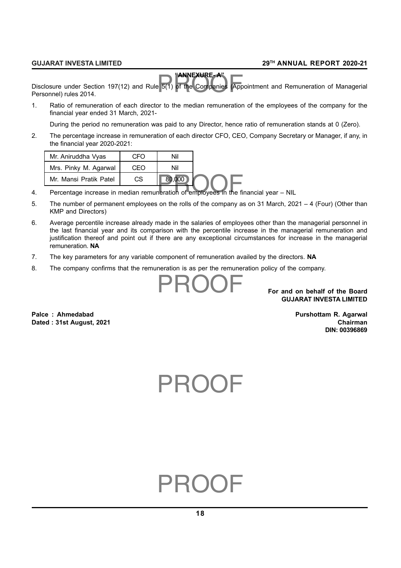## **"ANNEXURE- A"**

**ANNEXURE-A"**<br>B 5(1) of the Companies (App Disclosure under Section 197(12) and Rule 5(1) of the Companies (Appointment and Remuneration of Managerial Personnel) rules 2014.

1. Ratio of remuneration of each director to the median remuneration of the employees of the company for the financial year ended 31 March, 2021-

During the period no remuneration was paid to any Director, hence ratio of remuneration stands at 0 (Zero).

2. The percentage increase in remuneration of each director CFO, CEO, Company Secretary or Manager, if any, in the financial year 2020-2021:

| Mr. Aniruddha Vyas     | CFO | Nil    |
|------------------------|-----|--------|
| Mrs. Pinky M. Agarwal  | CFO | Nil    |
| Mr. Mansi Pratik Patel | СS  | 80,000 |

- Mr. Mansi Pratik Patel CS 80,000<br>4. Percentage increase in median remuneration of employees in the financial year NIL
- 5. The number of permanent employees on the rolls of the company as on 31 March, 2021 4 (Four) (Other than KMP and Directors)
- 6. Average percentile increase already made in the salaries of employees other than the managerial personnel in the last financial year and its comparison with the percentile increase in the managerial remuneration and justification thereof and point out if there are any exceptional circumstances for increase in the managerial remuneration. **NA**
- 7. The key parameters for any variable component of remuneration availed by the directors. **NA**
- 8. The company confirms that the remuneration is as per the remuneration policy of the company.

**For and on behalf of the Board GUJARAT INVESTA LIMITED**

**Dated : 31st August, 2021 Chairman**

Palce : Ahmedabad **Palce : Ahmedabad** Purshottam R. Agarwal **DIN: 00396869**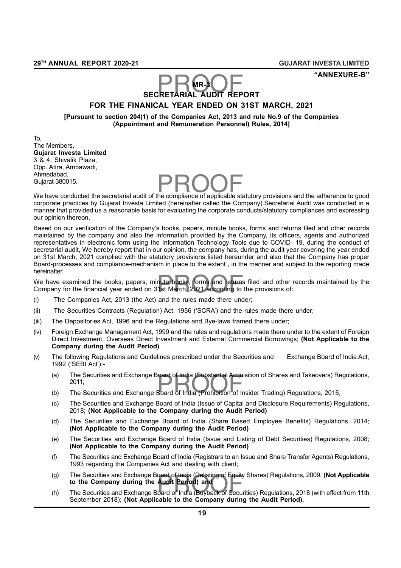**"ANNEXURE-B"**

#### **MR-3**

# MR-3<br>**SECRETARIAL AUDIT REPORT FOR THE FINANICAL YEAR ENDED ON 31ST MARCH, 2021**

**[Pursuant to section 204(1) of the Companies Act, 2013 and rule No.9 of the Companies (Appointment and Remuneration Personnel) Rules, 2014]**

To, The Members, **Gujarat Investa Limited** 3 & 4, Shivalik Plaza, Opp. Atira, Ambawadi, Ahmedabad, Gujarat-380015.

Anmedabad,<br>Gujarat-380015.<br>We have conducted the secretarial audit of the compliance of applicable statutory provisions and the adherence to good corporate practices by Gujarat Investa Limited (hereinafter called the Company).Secretarial Audit was conducted in a manner that provided us a reasonable basis for evaluating the corporate conducts/statutory compliances and expressing our opinion thereon.

Based on our verification of the Company's books, papers, minute books, forms and returns filed and other records maintained by the company and also the information provided by the Company, its officers, agents and authorized representatives in electronic form using the Information Technology Tools due to COVID- 19, during the conduct of secretarial audit, We hereby report that in our opinion, the company has, during the audit year covering the year ended on 31st March, 2021 complied with the statutory provisions listed hereunder and also that the Company has proper Board-processes and compliance-mechanism in place to the extent , in the manner and subject to the reporting made hereinafter.

The financial contriguity.<br>We have examined the books, papers, minute books, forms and returns filed and other<br>Company for the financial year ended on 31st March, 2021 according to the provisions of: We have examined the books, papers, minute books, forms and returns filed and other records maintained by the

- (i) The Companies Act, 2013 (the Act) and the rules made there under;
- (ii) The Securities Contracts (Regulation) Act, 1956 ('SCRA') and the rules made there under;
- (iii) The Depositories Act, 1996 and the Regulations and Bye-laws framed there under;
- (iv) Foreign Exchange Management Act, 1999 and the rules and regulations made there under to the extent of Foreign Direct Investment, Overseas Direct Investment and External Commercial Borrowings; **(Not Applicable to the Company during the Audit Period)**
- (v) The following Regulations and Guidelines prescribed under the Securities and Exchange Board of India Act, 1992 ('SEBI Act'):-
	- (a) The Securities and Exchange Board of India (Substantial Acquisition of Shares and Takeovers) Re<br>2011;<br>(b) The Securities and Exchange Board of India (Prohibition of Insider Trading) Regulations, 2015; (a) The Securities and Exchange Board of India (Substantial Acquisition of Shares and Takeovers) Regulations, 2011;
	-
	- (c) The Securities and Exchange Board of India (Issue of Capital and Disclosure Requirements) Regulations, 2018; **(Not Applicable to the Company during the Audit Period)**
	- (d) The Securities and Exchange Board of India (Share Based Employee Benefits) Regulations, 2014; **(Not Applicable to the Company during the Audit Period)**
	- (e) The Securities and Exchange Board of India (Issue and Listing of Debt Securities) Regulations, 2008; **(Not Applicable to the Company during the Audit Period)**
	- (f) The Securities and Exchange Board of India (Registrars to an Issue and Share Transfer Agents) Regulations, 1993 regarding the Companies Act and dealing with client;
	- (g) The Securities and Exchange Board of India (Delisting of Equity Shares) Regulations, 2009; (Not Applicable<br> **to the Company during the Audit Period) and**<br>
	(h) The Securities and Exchange Board of India (Buyback of Secu (g) The Securities and Exchange Board of India (Delisting of Equity Shares) Regulations, 2009; **(Not Applicable to the Company during the Audit Period) and**
	- September 2018); **(Not Applicable to the Company during the Audit Period).**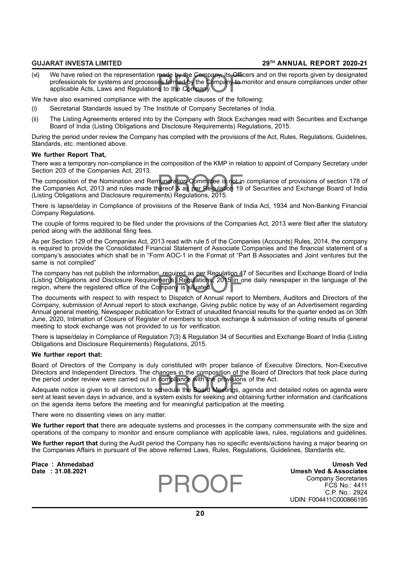made by the Company, its Offic<br>es formed by the Company to r<br>is to the Company. (vi) We have relied on the representation made by the Company, its Officers and on the reports given by designated professionals for systems and processes formed by the Company to monitor and ensure compliances under other applicable Acts, Laws and Regulations to the Company.

We have also examined compliance with the applicable clauses of the following:

- (i) Secretarial Standards issued by The Institute of Company Secretaries of India.
- (ii) The Listing Agreements entered into by the Company with Stock Exchanges read with Securities and Exchange Board of India (Listing Obligations and Disclosure Requirements) Regulations, 2015.

During the period under review the Company has complied with the provisions of the Act, Rules, Regulations, Guidelines, Standards, etc. mentioned above.

#### **We further Report That,**

There was a temporary non-compliance in the composition of the KMP in relation to appoint of Company Secretary under Section 203 of the Companies Act, 2013.

nuneration Committee is not in<br>nereof & as per Regulation 19<br>ents) Regulations, 2015. The composition of the Nomination and Remuneration Committee is not in compliance of provisions of section 178 of the Companies Act, 2013 and rules made thereof & as per Regulation 19 of Securities and Exchange Board of India (Listing Obligations and Disclosure requirements) Regulations, 2015.

There is lapse/delay in Compliance of provisions of the Reserve Bank of India Act, 1934 and Non-Banking Financial Company Regulations.

The couple of forms required to be filed under the provisions of the Companies Act, 2013 were filed after the statutory period along with the additional filing fees.

As per Section 129 of the Companies Act, 2013 read with rule 5 of the Companies (Accounts) Rules, 2014, the company is required to provide the Consolidated Financial Statement of Associate Companies and the financial statement of a company's associates which shall be in "Form AOC-1 in the Format of "Part B Associates and Joint ventures but the same is not complied"

The company has not publish the information, required as per Regulation 47 of Securities and Exchange Board of India<br>(Listing Obligations and Disclosure Requirements) Regulations, 2015 in one daily newspaper in the languag The company has not publish the information, required as per Regulation 47 of Securities and Exchange Board of India region, where the registered office of the Company is situated.

The documents with respect to with respect to Dispatch of Annual report to Members, Auditors and Directors of the Company, submission of Annual report to stock exchange, Giving public notice by way of an Advertisement regarding Annual general meeting, Newspaper publication for Extract of unaudited financial results for the quarter ended as on 30th June, 2020, Intimation of Closure of Register of members to stock exchange & submission of voting results of general meeting to stock exchange was not provided to us for verification.

There is lapse/delay in Compliance of Regulation 7(3) & Regulation 34 of Securities and Exchange Board of India (Listing Obligations and Disclosure Requirements) Regulations, 2015.

#### **We further report that:**

Board of Directors of the Company is duly constituted with proper balance of Executive Directors, Non-Executive Directors and Independent Directors. The changes in the composition of the Board of Directors that took place during

Britands and intelections. The changes in the composition of the Board of<br>the period under review were carried out in compliance with the provisions of the Act.<br>Adequate notice is given to all directors to schedule the Boa Adequate notice is given to all directors to schedule the Board Meetings, agenda and detailed notes on agenda were sent at least seven days in advance, and a system exists for seeking and obtaining further information and clarifications on the agenda items before the meeting and for meaningful participation at the meeting.

There were no dissenting views on any matter.

**We further report that** there are adequate systems and processes in the company commensurate with the size and operations of the company to monitor and ensure compliance with applicable laws, rules, regulations and guidelines.

**We further report that** during the Audit period the Company has no specific events/actions having a major bearing on the Companies Affairs in pursuant of the above referred Laws, Rules, Regulations, Guidelines, Standards etc.

**Place : Ahmedabad Umesh Ved Date : 31.08.2021 Umesh Ved & Associates** Company Secretaries FCS No.: 4411 C.P. No.: 2924 UDIN: F004411C000866195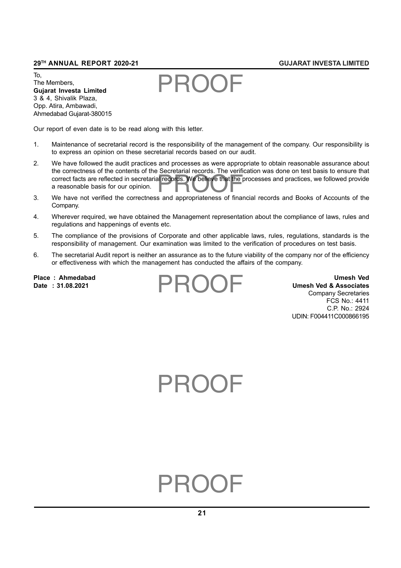To, The Members, **Gujarat Investa Limited** 3 & 4, Shivalik Plaza, Opp. Atira, Ambawadi, Ahmedabad Gujarat-380015

Our report of even date is to be read along with this letter.

- 1. Maintenance of secretarial record is the responsibility of the management of the company. Our responsibility is to express an opinion on these secretarial records based on our audit.
- Front Facts are reflected in secretarial records. We believe that the processes and practices, we followed provide<br>a reasonable basis for our opinion.<br>We have not verified the correctness and parameterses of financial reco 2. We have followed the audit practices and processes as were appropriate to obtain reasonable assurance about the correctness of the contents of the Secretarial records. The verification was done on test basis to ensure that a reasonable basis for our opinion.
- 3. We have not verified the correctness and appropriateness of financial records and Books of Accounts of the Company.
- 4. Wherever required, we have obtained the Management representation about the compliance of laws, rules and regulations and happenings of events etc.
- 5. The compliance of the provisions of Corporate and other applicable laws, rules, regulations, standards is the responsibility of management. Our examination was limited to the verification of procedures on test basis.
- 6. The secretarial Audit report is neither an assurance as to the future viability of the company nor of the efficiency or effectiveness with which the management has conducted the affairs of the company.

**Place : Ahmedabad Umesh Ved Umesh Ved & Associates** Company Secretaries FCS No.: 4411 C.P. No.: 2924 UDIN: F004411C000866195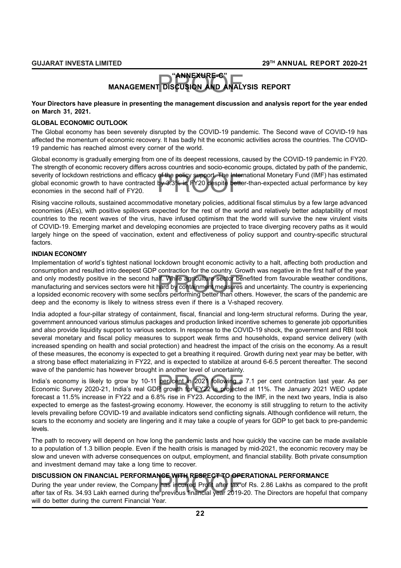## **"ANNEXURE-C"**

## "ANNEXURE-C"<br>T DISCUSION AND ANAL' **MANAGEMENT DISCUSION AND ANALYSIS REPORT**

#### **Your Directors have pleasure in presenting the management discussion and analysis report for the year ended on March 31, 2021.**

#### **GLOBAL ECONOMIC OUTLOOK**

The Global economy has been severely disrupted by the COVID-19 pandemic. The Second wave of COVID-19 has affected the momentum of economic recovery. It has badly hit the economic activities across the countries. The COVID-19 pandemic has reached almost every corner of the world.

of the policy support. The Inter<br>by 3.3% in FY20 despite bette Global economy is gradually emerging from one of its deepest recessions, caused by the COVID-19 pandemic in FY20. The strength of economic recovery differs across countries and socio-economic groups, dictated by path of the pandemic, severity of lockdown restrictions and efficacy of the policy support. The International Monetary Fund (IMF) has estimated global economic growth to have contracted by 3.3% in FY20 despite better-than-expected actual performance by key economies in the second half of FY20.

Rising vaccine rollouts, sustained accommodative monetary policies, additional fiscal stimulus by a few large advanced economies (AEs), with positive spillovers expected for the rest of the world and relatively better adaptability of most countries to the recent waves of the virus, have infused optimism that the world will survive the new virulent visits of COVID-19. Emerging market and developing economies are projected to trace diverging recovery paths as it would largely hinge on the speed of vaccination, extent and effectiveness of policy support and country-specific structural factors.

## **INDIAN ECONOMY**

alf. While agriculture sector be<br>hard by containment measures<br>tors performing better than oth Implementation of world's tightest national lockdown brought economic activity to a halt, affecting both production and consumption and resulted into deepest GDP contraction for the country. Growth was negative in the first half of the year and only modestly positive in the second half. While agriculture sector benefited from favourable weather conditions, manufacturing and services sectors were hit hard by containment measures and uncertainty. The country is experiencing a lopsided economic recovery with some sectors performing better than others. However, the scars of the pandemic are deep and the economy is likely to witness stress even if there is a V-shaped recovery.

India adopted a four-pillar strategy of containment, fiscal, financial and long-term structural reforms. During the year, government announced various stimulus packages and production linked incentive schemes to generate job opportunities and also provide liquidity support to various sectors. In response to the COVID-19 shock, the government and RBI took several monetary and fiscal policy measures to support weak firms and households, expand service delivery (with increased spending on health and social protection) and headrest the impact of the crisis on the economy. As a result of these measures, the economy is expected to get a breathing it required. Growth during next year may be better, with a strong base effect materializing in FY22, and is expected to stabilize at around 6-6.5 percent thereafter. The second wave of the pandemic has however brought in another level of uncertainty.

India's economy is likely to grow by 10-11 per cent in 2021 following a 7.1 per cent contraction last year. As per<br>Economic Survey 2020-21, India's real GDP growth for FY22 is projected at 11%. The January 2021 WEO update<br> Economic Survey 2020-21, India's real GDP growth for FY22 is projected at 11%. The January 2021 WEO update forecast a 11.5% increase in FY22 and a 6.8% rise in FY23. According to the IMF, in the next two years, India is also expected to emerge as the fastest-growing economy. However, the economy is still struggling to return to the activity levels prevailing before COVID-19 and available indicators send conflicting signals. Although confidence will return, the scars to the economy and society are lingering and it may take a couple of years for GDP to get back to pre-pandemic levels.

The path to recovery will depend on how long the pandemic lasts and how quickly the vaccine can be made available to a population of 1.3 billion people. Even if the health crisis is managed by mid-2021, the economic recovery may be slow and uneven with adverse consequences on output, employment, and financial stability. Both private consumption and investment demand may take a long time to recover.

#### **DISCUSSION ON FINANCIAL PERFORMANCE WITH RESPECT TO OPERATIONAL PERFORMANCE**

**NCE WITH RESPECT TO OPE**<br>I has incurred Profit after tax c<br>e previous financial year 2019-During the year under review, the Company has incurred Profit after tax of Rs. 2.86 Lakhs as compared to the profit after tax of Rs. 34.93 Lakh earned during the previous financial year 2019-20. The Directors are hopeful that company will do better during the current Financial Year.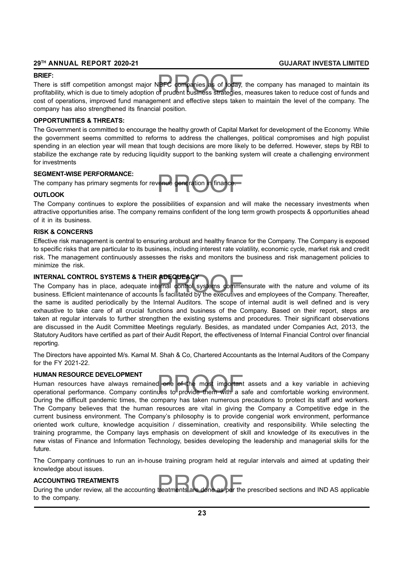#### **BRIEF:**

**IBFC companies as of today,<br>of prudent business strategies,** There is stiff competition amongst major NBFC companies as of today, the company has managed to maintain its profitability, which is due to timely adoption of prudent business strategies, measures taken to reduce cost of funds and cost of operations, improved fund management and effective steps taken to maintain the level of the company. The company has also strengthened its financial position.

#### **OPPORTUNITIES & THREATS:**

The Government is committed to encourage the healthy growth of Capital Market for development of the Economy. While the government seems committed to reforms to address the challenges, political compromises and high populist spending in an election year will mean that tough decisions are more likely to be deferred. However, steps by RBI to stabilize the exchange rate by reducing liquidity support to the banking system will create a challenging environment for investments

#### **SEGMENT-WISE PERFORMANCE:**

renue generation in finance.<br>
. The company has primary segments for revenue generation in finance.

#### **OUTLOOK**

The Company continues to explore the possibilities of expansion and will make the necessary investments when attractive opportunities arise. The company remains confident of the long term growth prospects & opportunities ahead of it in its business.

#### **RISK & CONCERNS**

Effective risk management is central to ensuring arobust and healthy finance for the Company. The Company is exposed to specific risks that are particular to its business, including interest rate volatility, economic cycle, market risk and credit risk. The management continuously assesses the risks and monitors the business and risk management policies to minimize the risk.

#### **INTERNAL CONTROL SYSTEMS & THEIR ADEQUEACY**

ADEQUEACY<br>ernal control systems comme<br>is facilitated by the executives The Company has in place, adequate internal control systems commensurate with the nature and volume of its business. Efficient maintenance of accounts is facilitated by the executives and employees of the Company. Thereafter, the same is audited periodically by the Internal Auditors. The scope of internal audit is well defined and is very exhaustive to take care of all crucial functions and business of the Company. Based on their report, steps are taken at regular intervals to further strengthen the existing systems and procedures. Their significant observations are discussed in the Audit Committee Meetings regularly. Besides, as mandated under Companies Act, 2013, the Statutory Auditors have certified as part of their Audit Report, the effectiveness of Internal Financial Control over financial reporting.

The Directors have appointed M/s. Kamal M. Shah & Co, Chartered Accountants as the Internal Auditors of the Company for the FY 2021-22.

#### **HUMAN RESOURCE DEVELOPMENT**

d one of the most important<br>ues to provide them with a s Human resources have always remained one of the most important assets and a key variable in achieving operational performance. Company continues to provide them with a safe and comfortable working environment. During the difficult pandemic times, the company has taken numerous precautions to protect its staff and workers. The Company believes that the human resources are vital in giving the Company a Competitive edge in the current business environment. The Company's philosophy is to provide congenial work environment, performance oriented work culture, knowledge acquisition / dissemination, creativity and responsibility. While selecting the training programme, the Company lays emphasis on development of skill and knowledge of its executives in the new vistas of Finance and Information Technology, besides developing the leadership and managerial skills for the future.

The Company continues to run an in-house training program held at regular intervals and aimed at updating their knowledge about issues.

#### **ACCOUNTING TREATMENTS**

ACCOUNTING TREATMENTS<br>During the under review, all the accounting treatments are done as per the prescribed sections and IND AS applicable to the company.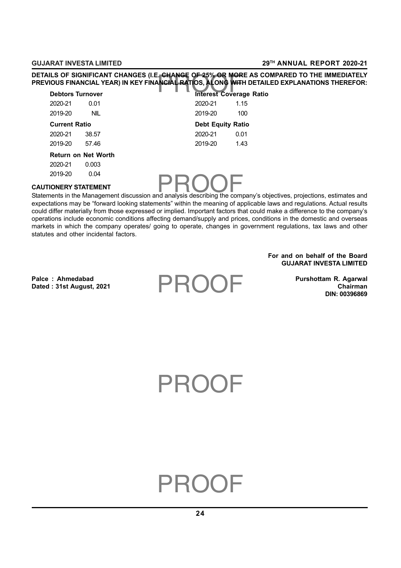CHANGE OF 25% OR MOR .<br>NCIAL RATIOS, ALONG WITH<br>Interest Covera **DETAILS OF SIGNIFICANT CHANGES (I.E. CHANGE OF 25% OR MORE AS COMPARED TO THE IMMEDIATELY PREVIOUS FINANCIAL YEAR) IN KEY FINANCIAL RATIOS, ALONG WITH DETAILED EXPLANATIONS THEREFOR:**

| <b>Debtors Turnover</b> |                            |                          | <b>Interest Coverage Ratio</b> |
|-------------------------|----------------------------|--------------------------|--------------------------------|
| 2020-21                 | 0.01                       | 2020-21                  | 1.15                           |
| 2019-20                 | <b>NIL</b>                 | 2019-20                  | 100                            |
| <b>Current Ratio</b>    |                            | <b>Debt Equity Ratio</b> |                                |
| 2020-21                 | 38.57                      | 2020-21                  | 0.01                           |
| 2019-20                 | 57.46                      | 2019-20                  | 1.43                           |
|                         | <b>Return on Net Worth</b> |                          |                                |
| 2020-21                 | 0.003                      |                          |                                |
| 2019-20                 | 0.04                       |                          |                                |

## **CAUTIONERY STATEMENT**

2019-20<br>CAUTIONERY STATEMENT<br>Statements in the Management discussion and analysis describing the company's objectives, projections, estimates and expectations may be "forward looking statements" within the meaning of applicable laws and regulations. Actual results could differ materially from those expressed or implied. Important factors that could make a difference to the company's operations include economic conditions affecting demand/supply and prices, conditions in the domestic and overseas markets in which the company operates/ going to operate, changes in government regulations, tax laws and other statutes and other incidental factors.

> **For and on behalf of the Board GUJARAT INVESTA LIMITED**

Palce : Ahmedabad **Palce : Ahmedabad** Purshottam R. Agarwal **Dated : 31st August, 2021 Chairman**

**DIN: 00396869**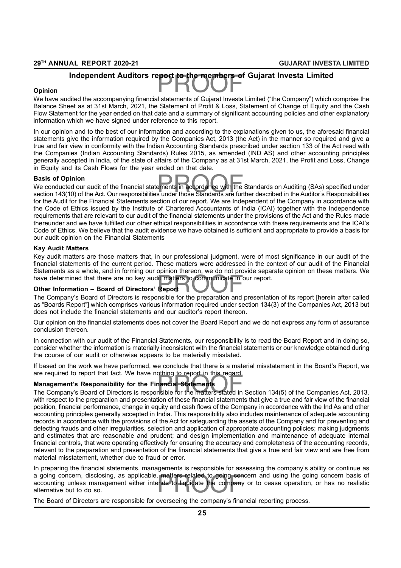# PROOF **Independent Auditors report to the members of Gujarat Investa Limited**

#### **Opinion**

We have audited the accompanying financial statements of Gujarat Investa Limited ("the Company") which comprise the Balance Sheet as at 31st March, 2021, the Statement of Profit & Loss, Statement of Change of Equity and the Cash Flow Statement for the year ended on that date and a summary of significant accounting policies and other explanatory information which we have signed under reference to this report.

In our opinion and to the best of our information and according to the explanations given to us, the aforesaid financial statements give the information required by the Companies Act, 2013 (the Act) in the manner so required and give a true and fair view in conformity with the Indian Accounting Standards prescribed under section 133 of the Act read with the Companies (Indian Accounting Standards) Rules 2015, as amended (IND AS) and other accounting principles generally accepted in India, of the state of affairs of the Company as at 31st March, 2021, the Profit and Loss, Change in Equity and its Cash Flows for the year ended on that date.

#### **Basis of Opinion**

<mark>Basis of Opinion</mark><br>We conducted our audit of the financial statements in accordance with the Standards on Auditing (SAs) specified under<br>section 143(10) of the Act. Our responsibilities under those Standards are further de We conducted our audit of the financial statements in accordance with the Standards on Auditing (SAs) specified under for the Audit for the Financial Statements section of our report. We are Independent of the Company in accordance with the Code of Ethics issued by the Institute of Chartered Accountants of India (ICAI) together with the Independence requirements that are relevant to our audit of the financial statements under the provisions of the Act and the Rules made thereunder and we have fulfilled our other ethical responsibilities in accordance with these requirements and the ICAI's Code of Ethics. We believe that the audit evidence we have obtained is sufficient and appropriate to provide a basis for our audit opinion on the Financial Statements

#### **Kay Audit Matters**

have determined that there are no key audit matters to communicate in our report.<br>
Other Information – Board of Directors' Report<br>
The Company's Board of Directors is responsible for the preparation and presentati Key audit matters are those matters that, in our professional judgment, were of most significance in our audit of the financial statements of the current period. These matters were addressed in the context of our audit of the Financial Statements as a whole, and in forming our opinion thereon, we do not provide separate opinion on these matters. We

#### **Other Information – Board of Directors' Report**

The Company's Board of Directors is responsible for the preparation and presentation of its report [herein after called as "Boards Report"] which comprises various information required under section 134(3) of the Companies Act, 2013 but does not include the financial statements and our auditor's report thereon.

Our opinion on the financial statements does not cover the Board Report and we do not express any form of assurance conclusion thereon.

In connection with our audit of the Financial Statements, our responsibility is to read the Board Report and in doing so, consider whether the information is materially inconsistent with the financial statements or our knowledge obtained during the course of our audit or otherwise appears to be materially misstated.

If based on the work we have performed, we conclude that there is a material misstatement in the Board's Report, we are required to report that fact. We have nothing to report in this regard.

#### **Management's Responsibility for the Financial Statements**

are required to report that fact, we have nothing to report in this regard.<br>**Management's Responsibility for the Financial Statements**<br>The Company's Board of Directors is responsible for the matters stated in Section 134(5 with respect to the preparation and presentation of these financial statements that give a true and fair view of the financial position, financial performance, change in equity and cash flows of the Company in accordance with the Ind As and other accounting principles generally accepted in India. This responsibility also includes maintenance of adequate accounting records in accordance with the provisions of the Act for safeguarding the assets of the Company and for preventing and detecting frauds and other irregularities, selection and application of appropriate accounting policies; making judgments and estimates that are reasonable and prudent; and design implementation and maintenance of adequate internal financial controls, that were operating effectively for ensuring the accuracy and completeness of the accounting records, relevant to the preparation and presentation of the financial statements that give a true and fair view and are free from material misstatement, whether due to fraud or error.

, matters related to going con<br>ends to liquidate the company In preparing the financial statements, managements is responsible for assessing the company's ability or continue as a going concern, disclosing, as applicable, matters related to going concern and using the going concern basis of accounting unless management either intends to liquidate the company or to cease operation, or has no realistic alternative but to do so.

The Board of Directors are responsible for overseeing the company's financial reporting process.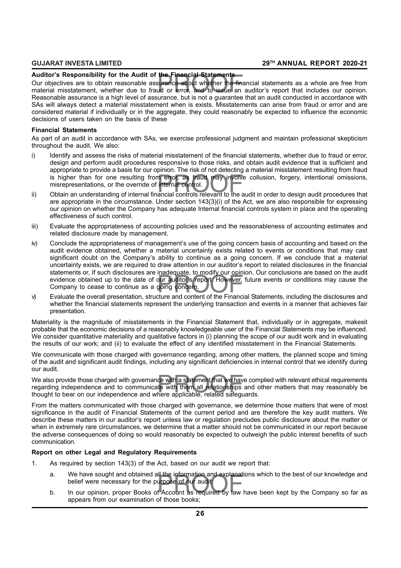#### **Auditor's Responsibility for the Audit of the Financial Statements**

Auditor's Responsibility for the Audit of the Financial Statements<br>Our objectives are to obtain reasonable assurance about whether the financial statements as a whole are free from<br>material misstatement, whether due to fra Our objectives are to obtain reasonable assurance about whether the financial statements as a whole are free from Reasonable assurance is a high level of assurance, but is not a guarantee that an audit conducted in accordance with SAs will always detect a material misstatement when is exists. Misstatements can arise from fraud or error and are considered material if individually or in the aggregate, they could reasonably be expected to influence the economic decisions of users taken on the basis of these

#### **Financial Statements**

As part of an audit in accordance with SAs, we exercise professional judgment and maintain professional skepticism throughout the audit. We also:

- is higher than for one resulting from error, as fraud may involve collusion, forgery, intentional omissions, misrepresentations, or the override of internal control.<br>Obtain an understanding of internal financial controls r i) Identify and assess the risks of material misstatement of the financial statements, whether due to fraud or error, design and perform audit procedures responsive to those risks, and obtain audit evidence that is sufficient and appropriate to provide a basis for our opinion. The risk of not detecting a material misstatement resulting from fraud misrepresentations, or the override of internal control.
- ii) Obtain an understanding of internal financial controls relevant to the audit in order to design audit procedures that are appropriate in the circumstance. Under section 143(3)(i) of the Act, we are also responsible for expressing our opinion on whether the Company has adequate Internal financial controls system in place and the operating effectiveness of such control.
- iii) Evaluate the appropriateness of accounting policies used and the reasonableness of accounting estimates and related disclosure made by management.
- evidence obtained up to the date of our auditor's report. However, future events or conditions may cause the<br>Company to cease to continue as a going concern.<br>Evaluate the overall presentation, structure and content of the iv) Conclude the appropriateness of management's use of the going concern basis of accounting and based on the audit evidence obtained, whether a material uncertainty exists related to events or conditions that may cast significant doubt on the Company's ability to continue as a going concern. If we conclude that a material uncertainty exists, we are required to draw attention in our auditor's report to related disclosures in the financial statements or, If such disclosures are inadequate, to modify our opinion. Our conclusions are based on the audit Company to cease to continue as a going concern.
- v) Evaluate the overall presentation, structure and content of the Financial Statements, including the disclosures and whether the financial statements represent the underlying transaction and events in a manner that achieves fair presentation.

Materiality is the magnitude of misstatements in the Financial Statement that, individually or in aggregate, makesit probable that the economic decisions of a reasonably knowledgeable user of the Financial Statements may be influenced. We consider quantitative materiality and qualitative factors in (i) planning the scope of our audit work and in evaluating the results of our work; and (ii) to evaluate the effect of any identified misstatement in the Financial Statements.

We communicate with those charged with governance regarding, among other matters, the planned scope and timing of the audit and significant audit findings, including any significant deficiencies in internal control that we identify during our audit.

ce with a statement that we have<br>te with them all relationships<br>here applicable, related safequ We also provide those charged with governance with a statement that we have complied with relevant ethical requirements regarding independence and to communicate with them all relationships and other matters that may reasonably be thought to bear on our independence and where applicable, related safeguards.

From the matters communicated with those charged with governance, we determine those matters that were of most significance in the audit of Financial Statements of the current period and are therefore the key audit matters. We describe these matters in our auditor's report unless law or regulation precludes public disclosure about the matter or when in extremely rare circumstances, we determine that a matter should not be communicated in our report because the adverse consequences of doing so would reasonably be expected to outweigh the public interest benefits of such communication.

#### **Report on other Legal and Regulatory Requirements**

- 1. As required by section 143(3) of the Act, based on our audit we report that:
	- a. We have sought and obtained all the information and explanations which to the best of our knowledge and<br>belief were necessary for the purpose of our audit;<br>b. In our opinion, proper Books of Account as required by law h a. We have sought and obtained all the information and explanations which to the best of our knowledge and belief were necessary for the purpose of our audit;
	- appears from our examination of those books;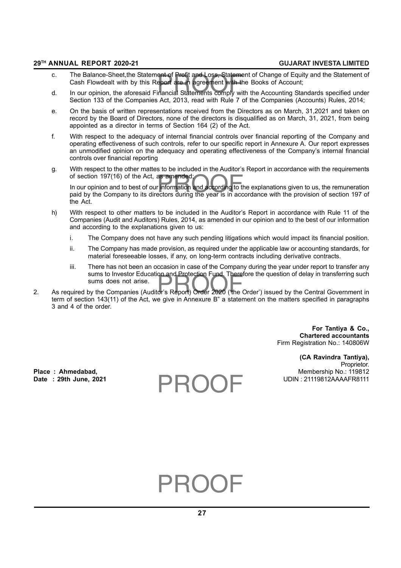- c. The Balance-Sheet,the Statement of Profit and Loss, Statement of Change of Equity and the Statement of<br>Cash Flowdealt with by this Report are in agreement with the Books of Account;<br>d. In our opinion, the aforesaid Fina c. The Balance-Sheet,the Statement of Profit and Loss, Statement of Change of Equity and the Statement of Cash Flowdealt with by this Report are in agreement with the Books of Account;
- Section 133 of the Companies Act, 2013, read with Rule 7 of the Companies (Accounts) Rules, 2014;
- e. On the basis of written representations received from the Directors as on March, 31,2021 and taken on record by the Board of Directors, none of the directors is disqualified as on March, 31, 2021, from being appointed as a director in terms of Section 164 (2) of the Act.
- f. With respect to the adequacy of internal financial controls over financial reporting of the Company and operating effectiveness of such controls, refer to our specific report in Annexure A. Our report expresses an unmodified opinion on the adequacy and operating effectiveness of the Company's internal financial controls over financial reporting
- g. With respect to the other mattes to be included in the Auditor's Report in accordance with the requirements of section 197(16) of the Act, as amended;

as amended;<br>r information and according to tl<br>ectors during the year is in acc In our opinion and to best of our information and according to the explanations given to us, the remuneration paid by the Company to its directors during the year is in accordance with the provision of section 197 of the Act.

- h) With respect to other matters to be included in the Auditor's Report in accordance with Rule 11 of the Companies (Audit and Auditors) Rules, 2014, as amended in our opinion and to the best of our information and according to the explanations given to us:
	- i. The Company does not have any such pending litigations which would impact its financial position.
	- ii. The Company has made provision, as required under the applicable law or accounting standards, for material foreseeable losses, if any, on long-term contracts including derivative contracts.
- sums to investor Education and Protection Fund. Therefore the question of delay in transferring such<br>sums does not arise.<br>2. As required by the Companies (Auditor's Report) Order 2020 ('the Order') issued by the Central Go iii. There has not been an occasion in case of the Company during the year under report to transfer any sums to Investor Education and Protection Fund. Therefore the question of delay in transferring such sums does not arise.
- term of section 143(11) of the Act, we give in Annexure B" a statement on the matters specified in paragraphs 3 and 4 of the order.

**For Tantiya & Co., Chartered accountants** Firm Registration No.: 140806W

**(CA Ravindra Tantiya),** Proprietor. Place : Ahmedabad, **Place : Ahmedabad, Place : Ahmedabad,** Membership No.: 119812<br>Date : 29th June, 2021 **Date : 29th June, 2021** UDIN : 21119812AAAAFR8111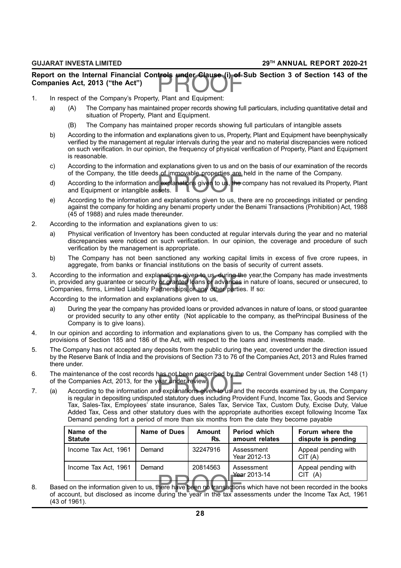## Report on the Internal Financial Controls under Clause (i) of Sub Section 3 of Section 143 of the<br>Companies Act, 2013 ("the Act")<br>. **Companies Act, 2013 ("the Act")**

- 1. In respect of the Company's Property, Plant and Equipment:
	- a) (A) The Company has maintained proper records showing full particulars, including quantitative detail and situation of Property. Plant and Equipment.
		- (B) The Company has maintained proper records showing full particulars of intangible assets
	- b) According to the information and explanations given to us, Property, Plant and Equipment have beenphysically verified by the management at regular intervals during the year and no material discrepancies were noticed on such verification. In our opinion, the frequency of physical verification of Property, Plant and Equipment is reasonable.
	- c) According to the information and explanations given to us and on the basis of our examination of the records of the Company, the title deeds of immovable properties are held in the name of the Company.
	- For immovable properties are<br>dexplanations given to us, the desets. d) According to the information and explanations given to us, the company has not revalued its Property, Plant and Equipment or intangible assets.
	- e) According to the information and explanations given to us, there are no proceedings initiated or pending against the company for holding any benami property under the Benami Transactions (Prohibition) Act, 1988 (45 of 1988) and rules made thereunder.
- 2. According to the information and explanations given to us:
	- a) Physical verification of Inventory has been conducted at regular intervals during the year and no material discrepancies were noticed on such verification. In our opinion, the coverage and procedure of such verification by the management is appropriate.
	- b) The Company has not been sanctioned any working capital limits in excess of five crore rupees, in aggregate, from banks or financial institutions on the basis of security of current assets.
- According to the information and explanations given to us, during the year,t<br>in, provided any guarantee or security or granted loans or advances in natur<br>Companies, firms, Limited Liability Partnerships or any other partie 3. According to the information and explanations given to us, during the year,the Company has made investments in, provided any guarantee or security or granted loans or advances in nature of loans, secured or unsecured, to

According to the information and explanations given to us,

- a) During the year the company has provided loans or provided advances in nature of loans, or stood guarantee or provided security to any other entity (Not applicable to the company, as thePrincipal Business of the Company is to give loans).
- 4. In our opinion and according to information and explanations given to us, the Company has complied with the provisions of Section 185 and 186 of the Act, with respect to the loans and investments made.
- 5. The Company has not accepted any deposits from the public during the year, covered under the direction issued by the Reserve Bank of India and the provisions of Section 73 to 76 of the Companies Act, 2013 and Rules framed there under.
- From the maintenance of the cost records has not been prescribed by the Central Government under Section 148 (1)<br>of the Companies Act, 2013, for the year under review.<br>7. (a) According to the information and explanations g 6. The maintenance of the cost records has not been prescribed by the Central Government under Section 148 (1) of the Companies Act, 2013, for the year under review.
- is regular in depositing undisputed statutory dues including Provident Fund, Income Tax, Goods and Service Tax, Sales-Tax, Employees' state insurance, Sales Tax, Service Tax, Custom Duty, Excise Duty, Value Added Tax, Cess and other statutory dues with the appropriate authorities except following Income Tax Demand pending fort a period of more than six months from the date they become payable

| Name of the<br><b>Statute</b> | Name of Dues | Amount<br>Rs. | <b>Period which</b><br>amount relates | Forum where the<br>dispute is pending |
|-------------------------------|--------------|---------------|---------------------------------------|---------------------------------------|
| Income Tax Act, 1961          | Demand       | 32247916      | Assessment<br>Year 2012-13            | Appeal pending with<br>CIT(A)         |
| Income Tax Act, 1961          | Demand       | 20814563      | Assessment<br>Year 2013-14            | Appeal pending with<br>CIT(A)         |

rea 8. Based on the information given to us, there have been no transactions which have not been recorded in the books of account, but disclosed as income during the year in the tax assessments under the Income Tax Act, 1961 (43 of 1961).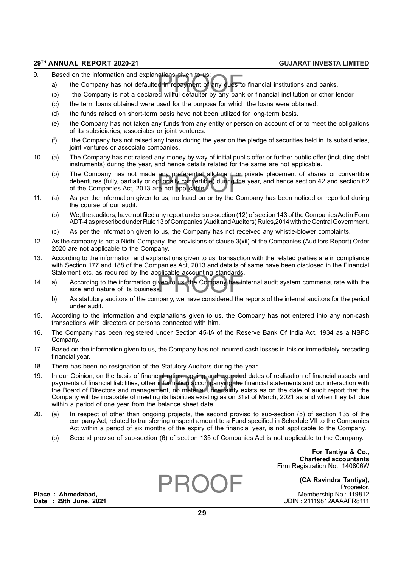- 9. Based on the information and explanations given to us:
	- iations given to us:<br>d in repayment of any dues to<br>:d willful defaulter by any bank a) the Company has not defaulted in repayment of any dues to financial institutions and banks.
	- (b) the Company is not a declared willful defaulter by any bank or financial institution or other lender.
	- (c) the term loans obtained were used for the purpose for which the loans were obtained.
	- (d) the funds raised on short-term basis have not been utilized for long-term basis.
	- (e) the Company has not taken any funds from any entity or person on account of or to meet the obligations of its subsidiaries, associates or joint ventures.
	- (f) the Company has not raised any loans during the year on the pledge of securities held in its subsidiaries, joint ventures or associate companies.
- 10. (a) The Company has not raised any money by way of initial public offer or further public offer (including debt instruments) during the year, and hence details related for the same are not applicable.
	- The Company has not made any preferential allotment or private placement of shares or convertible<br>debentures (fully, partially or optionally convertible) during the year, and hence section 42 and section 62<br>of the Companie (b) The Company has not made any preferential allotment or private placement of shares or convertible of the Companies Act, 2013 are not applicable.
- 11. (a) As per the information given to us, no fraud on or by the Company has been noticed or reported during the course of our audit.
	- (b) We, the auditors, have not filed any report under sub-section (12) of section 143 of the Companies Act in Form ADT-4 as prescribed under Rule 13 of Companies (Audit and Auditors) Rules,2014 with the Central Government.
	- (c) As per the information given to us, the Company has not received any whistle-blower complaints.
- 12. As the company is not a Nidhi Company, the provisions of clause 3(xii) of the Companies (Auditors Report) Order 2020 are not applicable to the Company.
- 13. According to the information and explanations given to us, transaction with the related parties are in compliance with Section 177 and 188 of the Companies Act, 2013 and details of same have been disclosed in the Financial Statement etc. as required by the applicable accounting standards.
- ven to us, the Company has in<br>S. 14. a) According to the information given to us, the Company has internal audit system commensurate with the size and nature of its business.
	- b) As statutory auditors of the company, we have considered the reports of the internal auditors for the period under audit.
- 15. According to the information and explanations given to us, the Company has not entered into any non-cash transactions with directors or persons connected with him.
- 16. The Company has been registered under Section 45-IA of the Reserve Bank Of India Act, 1934 as a NBFC Company.
- 17. Based on the information given to us, the Company has not incurred cash losses in this or immediately preceding financial year.
- 18. There has been no resignation of the Statutory Auditors during the year.
- ial ratios, ageing and expecter<br>information accompanying the<br>nent, no material uncertainty exits 19. In our Opinion, on the basis of financial ratios, ageing and expected dates of realization of financial assets and payments of financial liabilities, other information accompanying the financial statements and our interaction with the Board of Directors and management, no material uncertainty exists as on the date of audit report that the Company will be incapable of meeting its liabilities existing as on 31st of March, 2021 as and when they fall due within a period of one year from the balance sheet date.
- 20. (a) In respect of other than ongoing projects, the second proviso to sub-section (5) of section 135 of the company Act, related to transferring unspent amount to a Fund specified in Schedule VII to the Companies Act within a period of six months of the expiry of the financial year, is not applicable to the Company.
	- (b) Second proviso of sub-section (6) of section 135 of Companies Act is not applicable to the Company.

**For Tantiya & Co., Chartered accountants** Firm Registration No.: 140806W

**(CA Ravindra Tantiya),** Proprietor. **Place : Ahmedabad,** Membership No.: 119812 **Date : 29th June, 2021** UDIN : 21119812AAAAFR8111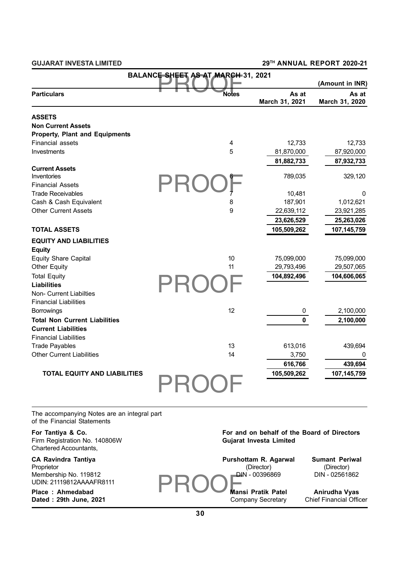| <b>BALANCE SHEET AS AT MARCH 31, 2021</b><br>(Amount in INR) |                |                         |                         |  |
|--------------------------------------------------------------|----------------|-------------------------|-------------------------|--|
| <b>Particulars</b>                                           | <b>Notes</b>   | As at<br>March 31, 2021 | As at<br>March 31, 2020 |  |
| <b>ASSETS</b>                                                |                |                         |                         |  |
| <b>Non Current Assets</b>                                    |                |                         |                         |  |
| <b>Property, Plant and Equipments</b>                        |                |                         |                         |  |
| <b>Financial assets</b>                                      | 4              | 12,733                  | 12,733                  |  |
| Investments                                                  | 5              | 81,870,000              | 87,920,000              |  |
|                                                              |                | 81,882,733              | 87,932,733              |  |
| <b>Current Assets</b>                                        |                |                         |                         |  |
| Inventories                                                  | $6\phantom{1}$ | 789,035                 | 329,120                 |  |
| <b>Financial Assets</b>                                      |                |                         |                         |  |
| <b>Trade Receivables</b>                                     | $\overline{7}$ | 10,481                  | 0                       |  |
| Cash & Cash Equivalent                                       | 8              | 187,901                 | 1,012,621               |  |
| <b>Other Current Assets</b>                                  | 9              | 22,639,112              | 23,921,285              |  |
|                                                              |                | 23,626,529              | 25,263,026              |  |
| <b>TOTAL ASSETS</b>                                          |                | 105,509,262             | 107,145,759             |  |
| <b>EQUITY AND LIABILITIES</b>                                |                |                         |                         |  |
| <b>Equity</b>                                                |                |                         |                         |  |
| <b>Equity Share Capital</b>                                  | 10             | 75,099,000              | 75,099,000              |  |
| <b>Other Equity</b>                                          | 11             | 29,793,496              | 29,507,065              |  |
| <b>Total Equity</b>                                          |                | 104,892,496             | 104,606,065             |  |
| <b>Liabilities</b>                                           |                |                         |                         |  |
| Non- Current Liabilties                                      |                |                         |                         |  |
| <b>Financial Liabilities</b>                                 |                |                         |                         |  |
| <b>Borrowings</b>                                            | 12             | 0                       | 2,100,000               |  |
| <b>Total Non Current Liabilities</b>                         |                | $\mathbf 0$             | 2,100,000               |  |
| <b>Current Liabilities</b>                                   |                |                         |                         |  |
| <b>Financial Liabilities</b>                                 |                |                         |                         |  |
| <b>Trade Payables</b>                                        | 13             | 613,016                 | 439,694                 |  |
| <b>Other Current Liabilities</b>                             | 14             | 3,750                   | 0                       |  |
|                                                              |                | 616,766                 | 439,694                 |  |
| <b>TOTAL EQUITY AND LIABILITIES</b>                          |                | 105,509,262             | 107,145,759             |  |
|                                                              |                |                         |                         |  |

The accompanying Notes are an integral part of the Financial Statements

Firm Registration No. 140806W Chartered Accountants,

# **For Tantiya & Co.**<br>For and on behalf of the Board of Directors<br>Firm Registration No. 140806W<br>**Gujarat Investa Limited**

| <b>CA Ravindra Tantiya</b> | Purshottam R. Agarwal     | <b>Sumant Periwal</b>         |
|----------------------------|---------------------------|-------------------------------|
| Proprietor                 | (Director)                | (Director)                    |
| Membership No. 119812      | DIN - 00396869            | DIN - 02561862                |
| UDIN: 21119812AAAAFR8111   |                           |                               |
| Place: Ahmedabad           | <b>Mansi Pratik Patel</b> | Anirudha Vyas                 |
| Dated: 29th June, 2021     | Company Secretary         | <b>Chief Financial Office</b> |
|                            |                           |                               |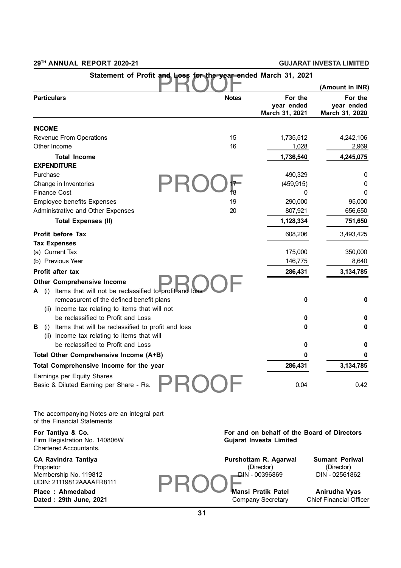|                                                                                                                |              |                                         | (Amount in INR)                         |
|----------------------------------------------------------------------------------------------------------------|--------------|-----------------------------------------|-----------------------------------------|
| <b>Particulars</b>                                                                                             | <b>Notes</b> | For the<br>year ended<br>March 31, 2021 | For the<br>year ended<br>March 31, 2020 |
| <b>INCOME</b>                                                                                                  |              |                                         |                                         |
| Revenue From Operations                                                                                        | 15           | 1,735,512                               | 4,242,106                               |
| Other Income                                                                                                   | 16           | 1,028                                   | 2,969                                   |
| <b>Total Income</b>                                                                                            |              | 1,736,540                               | 4,245,075                               |
| <b>EXPENDITURE</b>                                                                                             |              |                                         |                                         |
| Purchase                                                                                                       |              | 490,329                                 | 0                                       |
| Change in Inventories                                                                                          | 17           | (459, 915)                              | 0                                       |
| <b>Finance Cost</b>                                                                                            | 18           | 0                                       | 0                                       |
| <b>Employee benefits Expenses</b>                                                                              | 19           | 290,000                                 | 95,000                                  |
| Administrative and Other Expenses                                                                              | 20           | 807,921                                 | 656,650                                 |
| <b>Total Expenses (II)</b>                                                                                     |              | 1,128,334                               | 751,650                                 |
| Profit before Tax                                                                                              |              | 608,206                                 | 3,493,425                               |
| <b>Tax Expenses</b>                                                                                            |              |                                         |                                         |
| (a) Current Tax                                                                                                |              | 175,000                                 | 350,000                                 |
| (b) Previous Year                                                                                              |              | 146,775                                 | 8,640                                   |
| Profit after tax                                                                                               |              | 286,431                                 | 3,134,785                               |
| <b>Other Comprehensive Income</b>                                                                              |              |                                         |                                         |
| Items that will not be reclassified to profit and loss<br>A<br>(i)<br>remeasurent of the defined benefit plans |              | 0                                       | 0                                       |
| (ii) Income tax relating to items that will not                                                                |              |                                         |                                         |
| be reclassified to Profit and Loss                                                                             |              | 0                                       | 0                                       |
| Items that will be reclassified to profit and loss<br>В<br>(1)                                                 |              | 0                                       | 0                                       |
| (ii) Income tax relating to items that will                                                                    |              |                                         |                                         |
| be reclassified to Profit and Loss                                                                             |              | 0                                       | 0                                       |
| Total Other Comprehensive Income (A+B)                                                                         |              | 0                                       | 0                                       |
| Total Comprehensive Income for the year                                                                        |              | 286,431                                 | 3,134,785                               |
| Earnings per Equity Shares                                                                                     |              |                                         |                                         |
| Basic & Diluted Earning per Share - Rs.                                                                        |              | 0.04                                    | 0.42                                    |

The accompanying Notes are an integral part of the Financial Statements

| For Tantiya & Co.<br>Firm Registration No. 140806W<br>Chartered Accountants,                  | For and on behalf of the Board of Directors<br>Gujarat Investa Limited |                                                       |  |
|-----------------------------------------------------------------------------------------------|------------------------------------------------------------------------|-------------------------------------------------------|--|
| <b>CA Ravindra Tantiya</b><br>Proprietor<br>Membership No. 119812<br>UDIN: 21119812AAAAFR8111 | Purshottam R. Agarwal<br>(Director)<br>DIN - 00396869                  | <b>Sumant Periwal</b><br>(Director)<br>DIN - 02561862 |  |
| Place: Ahmedabad<br>Dated: 29th June, 2021                                                    | Mansi Pratik Patel<br>Company Secretary                                | Anirudha Vyas<br><b>Chief Financial Officer</b>       |  |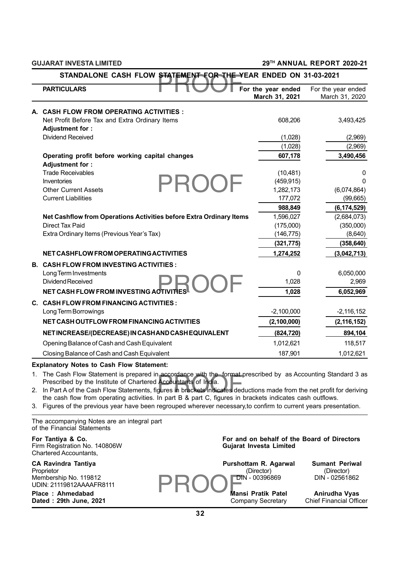**GUJARAT INVESTA LIMITED 29TH ANNUAL REPORT 2020-21**

|    | <b>PARTICULARS</b>                                                                                                                                                                                                          | For the year ended<br>March 31, 2021        | For the year ended<br>March 31, 2020 |
|----|-----------------------------------------------------------------------------------------------------------------------------------------------------------------------------------------------------------------------------|---------------------------------------------|--------------------------------------|
|    | A. CASH FLOW FROM OPERATING ACTIVITIES :                                                                                                                                                                                    |                                             |                                      |
|    | Net Profit Before Tax and Extra Ordinary Items                                                                                                                                                                              | 608,206                                     | 3,493,425                            |
|    | Adjustment for:                                                                                                                                                                                                             |                                             |                                      |
|    | Dividend Received                                                                                                                                                                                                           | (1,028)                                     | (2,969)                              |
|    |                                                                                                                                                                                                                             | (1,028)                                     | (2,969)                              |
|    | Operating profit before working capital changes                                                                                                                                                                             | 607,178                                     | 3,490,456                            |
|    | Adjustment for:                                                                                                                                                                                                             |                                             |                                      |
|    | <b>Trade Receivables</b>                                                                                                                                                                                                    | (10, 481)                                   | 0                                    |
|    | Inventories<br><b>Other Current Assets</b>                                                                                                                                                                                  | (459, 915)<br>1,282,173                     | 0<br>(6,074,864)                     |
|    | <b>Current Liabilities</b>                                                                                                                                                                                                  | 177,072                                     | (99,665)                             |
|    |                                                                                                                                                                                                                             | 988,849                                     | (6, 174, 529)                        |
|    | Net Cashflow from Operations Activities before Extra Ordinary Items                                                                                                                                                         | 1,596,027                                   | (2,684,073)                          |
|    | Direct Tax Paid                                                                                                                                                                                                             | (175,000)                                   | (350,000)                            |
|    | Extra Ordinary Items (Previous Year's Tax)                                                                                                                                                                                  | (146, 775)                                  | (8,640)                              |
|    |                                                                                                                                                                                                                             | (321, 775)                                  | (358, 640)                           |
|    | NET CASHFLOW FROM OPERATING ACTIVITIES                                                                                                                                                                                      | 1,274,252                                   | (3,042,713)                          |
|    | <b>B. CASH FLOW FROM INVESTING ACTIVITIES:</b>                                                                                                                                                                              |                                             |                                      |
|    | Long Term Investments                                                                                                                                                                                                       | 0                                           | 6,050,000                            |
|    | Dividend Received                                                                                                                                                                                                           | 1,028                                       | 2,969                                |
|    | NET CASH FLOW FROM INVESTING ACTIVITIES                                                                                                                                                                                     | 1,028                                       | 6,052,969                            |
|    | C. CASH FLOW FROM FINANCING ACTIVITIES :                                                                                                                                                                                    |                                             |                                      |
|    | Long Term Borrowings                                                                                                                                                                                                        | $-2,100,000$                                | $-2,116,152$                         |
|    | NET CASH OUTFLOW FROM FINANCING ACTIVITIES                                                                                                                                                                                  | (2, 100, 000)                               | (2, 116, 152)                        |
|    | NET INCREASE/(DECREASE) IN CASH AND CASH EQUIVALENT                                                                                                                                                                         | (824, 720)                                  | 894,104                              |
|    | Opening Balance of Cash and Cash Equivalent                                                                                                                                                                                 | 1,012,621                                   | 118,517                              |
|    | Closing Balance of Cash and Cash Equivalent                                                                                                                                                                                 | 187,901                                     | 1,012,621                            |
|    | <b>Explanatory Notes to Cash Flow Statement:</b>                                                                                                                                                                            |                                             |                                      |
|    | 1. The Cash Flow Statement is prepared in accordance with the format prescribed by as Accounting Standard 3 as                                                                                                              |                                             |                                      |
|    | Prescribed by the Institute of Chartered Accountants of India.                                                                                                                                                              |                                             |                                      |
|    | 2. In Part A of the Cash Flow Statements, figures in brackets indicates deductions made from the net profit for deriving                                                                                                    |                                             |                                      |
| 3. | the cash flow from operating activities. In part B & part C, figures in brackets indicates cash outflows.<br>Figures of the previous year have been regrouped wherever necessary, to confirm to current years presentation. |                                             |                                      |
|    |                                                                                                                                                                                                                             |                                             |                                      |
|    | The accompanying Notes are an integral part<br>of the Financial Statements                                                                                                                                                  |                                             |                                      |
|    | For Tantiya & Co.<br>AAOOOQIM                                                                                                                                                                                               | For and on behalf of the Board of Directors |                                      |

Firm Registration No. 140806W **Guide Institute Investment** Chartered Accountants,

**CA Ravindra Tantiya**<br>Proprietor Membership No. 119812 UDIN: 21119812AAAAFR8111

|                         |  | For and on behalf of the Board of Directors |
|-------------------------|--|---------------------------------------------|
| Gujarat Investa Limited |  |                                             |

| CA Ravindra Tantiya                               | Purshottam R. Agarwal     | Sumant Periwal |
|---------------------------------------------------|---------------------------|----------------|
| Proprietor                                        | (Director)                | (Director)     |
| Membership No. 119812<br>UDIN: 21119812AAAAFR8111 | DIN - 00396869            | DIN - 02561862 |
| Place: Ahmedabad                                  | <b>Mansi Pratik Patel</b> | Anirudha Vyas  |

**Place : Ahmedabad Mansi Pratik Patel Anirudha Vyas Dated : 29th June, 2021** Company Secretary Chief Financial Officer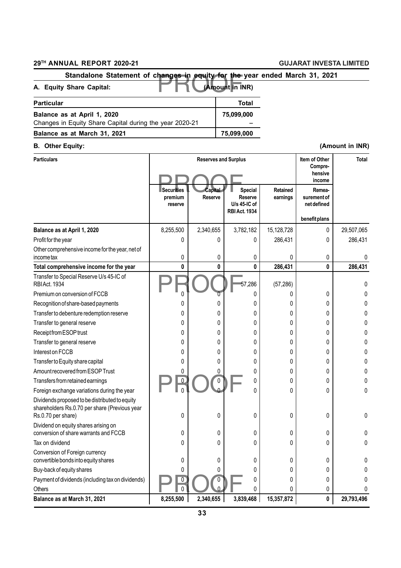| Standalone Statement of changes in equity for the year ended March 31, 2021 |                 |  |
|-----------------------------------------------------------------------------|-----------------|--|
| A. Equity Share Capital:                                                    | (Amount in INR) |  |
| <b>Particular</b>                                                           | Total           |  |
| Balance as at April 1, 2020                                                 | 75,099,000      |  |
| Changes in Equity Share Capital during the year 2020-21                     |                 |  |
| Balance as at March 31, 2021                                                | 75,099,000      |  |

| <b>Particulars</b><br><b>Reserves and Surplus</b>                                                                     |                                         |                    |                                                              | Item of Other<br>Compre-<br>hensive<br>income | <b>Total</b>                         |            |
|-----------------------------------------------------------------------------------------------------------------------|-----------------------------------------|--------------------|--------------------------------------------------------------|-----------------------------------------------|--------------------------------------|------------|
|                                                                                                                       | <b>Securities</b><br>premium<br>reserve | Capital<br>Reserve | Special<br>Reserve<br>$U/s$ 45-IC of<br><b>RBI Act. 1934</b> | Retained<br>earnings                          | Remea-<br>surement of<br>net defined |            |
|                                                                                                                       |                                         |                    |                                                              |                                               | benefit plans                        |            |
| Balance as at April 1, 2020                                                                                           | 8,255,500                               | 2,340,655          | 3,782,182                                                    | 15,128,728                                    | 0                                    | 29,507,065 |
| Profit for the year                                                                                                   | 0                                       | 0                  | 0                                                            | 286,431                                       | 0                                    | 286,431    |
| Other comprehensive income for the year, net of<br>income tax                                                         | 0                                       | 0                  | 0                                                            | 0                                             | 0                                    | 0          |
| Total comprehensive income for the year                                                                               | 0                                       | 0                  | 0                                                            | 286,431                                       | 0                                    | 286,431    |
| Transfer to Special Reserve U/s 45-IC of<br>RBIAct. 1934                                                              |                                         |                    | 57,286                                                       | (57, 286)                                     |                                      | 0          |
| Premium on conversion of FCCB                                                                                         | 0                                       | 0                  | 0                                                            |                                               | 0                                    | 0          |
| Recognition of share-based payments                                                                                   | 0                                       | 0                  | 0                                                            | 0                                             | 0                                    | 0          |
| Transfer to debenture redemption reserve                                                                              | 0                                       | 0                  | 0                                                            | 0                                             | 0                                    |            |
| Transfer to general reserve                                                                                           | 0                                       | 0                  | 0                                                            | 0                                             | 0                                    |            |
| Receipt from ESOP trust                                                                                               | 0                                       | 0                  | 0                                                            | 0                                             | 0                                    | 0          |
| Transfer to general reserve                                                                                           | 0                                       | 0                  | 0                                                            | 0                                             | 0                                    |            |
| Interest on FCCB                                                                                                      | 0                                       | 0                  | 0                                                            | 0                                             | 0                                    |            |
| Transfer to Equity share capital                                                                                      | 0                                       | 0                  | 0                                                            | 0                                             | 0                                    | 0          |
| Amount recovered from ESOP Trust                                                                                      | 0                                       | 0                  | 0                                                            | 0                                             | 0                                    | 0          |
| Transfers from retained earnings                                                                                      | 0                                       | 0                  | 0                                                            | 0                                             | 0                                    | 0          |
| Foreign exchange variations during the year                                                                           | 0                                       | 0                  | 0                                                            | 0                                             | 0                                    | 0          |
| Dividends proposed to be distributed to equity<br>shareholders Rs.0.70 per share (Previous year<br>Rs.0.70 per share) | 0                                       | 0                  | 0                                                            | 0                                             | 0                                    | 0          |
| Dividend on equity shares arising on<br>conversion of share warrants and FCCB                                         | 0                                       | 0                  | 0                                                            | 0                                             | 0                                    | 0          |
| Tax on dividend                                                                                                       | 0                                       | 0                  | 0                                                            | 0                                             | 0                                    | 0          |
| Conversion of Foreign currency<br>convertible bonds into equity shares                                                | 0                                       | 0                  | 0                                                            | 0                                             | 0                                    |            |
| Buy-back of equity shares                                                                                             | 0                                       | 0                  | 0                                                            |                                               | 0                                    |            |
| Payment of dividends (including tax on dividends)                                                                     | 0                                       | 0                  |                                                              |                                               | 0                                    |            |
| Others                                                                                                                | 0                                       | 0                  | 0                                                            |                                               | 0                                    | 0          |
| Balance as at March 31, 2021                                                                                          | 8,255,500                               | 2,340,655          | 3,839,468                                                    | 15,357,872                                    | $\pmb{0}$                            | 29,793,496 |

## **B. Other Equity: (Amount in INR)**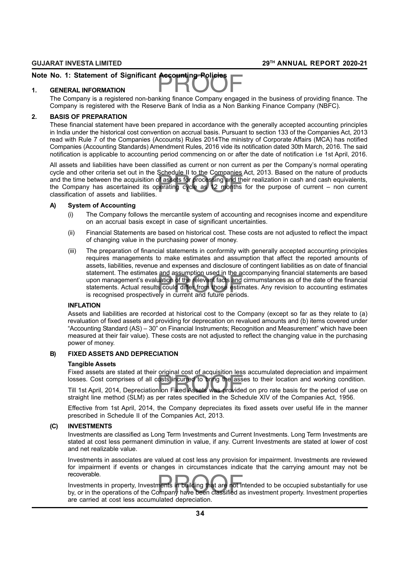# Note No. 1: Statement of Significant Accounting Policies<br>1. GENERAL INFORMATION

#### **1. GENERAL INFORMATION**

The Company is a registered non-banking finance Company engaged in the business of providing finance. The Company is registered with the Reserve Bank of India as a Non Banking Finance Company (NBFC).

#### **2. BASIS OF PREPARATION**

These financial statement have been prepared in accordance with the generally accepted accounting principles in India under the historical cost convention on accrual basis. Pursuant to section 133 of the Companies Act, 2013 read with Rule 7 of the Companies (Accounts) Rules 2014The ministry of Corporate Affairs (MCA) has notified Companies (Accounting Standards) Amendment Rules, 2016 vide its notification dated 30th March, 2016. The said notification is applicable to accounting period commencing on or after the date of notification i.e 1st April, 2016.

ochedde if to the companies<br>of assets for processing and the<br>perating cycle as 12 months All assets and liabilities have been classified as current or non current as per the Company's normal operating cycle and other criteria set out in the Schedule II to the Companies Act, 2013. Based on the nature of products and the time between the acquisition of assets for processing and their realization in cash and cash equivalents, the Company has ascertained its operating cycle as 12 months for the purpose of current – non current classification of assets and liabilities.

#### **A) System of Accounting**

- (i) The Company follows the mercantile system of accounting and recognises income and expenditure on an accrual basis except in case of significant uncertainties.
- (ii) Financial Statements are based on historical cost. These costs are not adjusted to reflect the impact of changing value in the purchasing power of money.
- and assumption used in the available<br>s could differ from those estim<br>ely in current and future period (iii) The preparation of financial statements in conformity with generally accepted accounting principles requires managements to make estimates and assumption that affect the reported amounts of assets, liabilities, revenue and expenses and disclosure of contingent liabilities as on date of financial statement. The estimates and assumption used in the accompanying financial statements are based upon management's evaluation of the relevant facts and cirmumstances as of the date of the financial statements. Actual results could differ from those estimates. Any revision to accounting estimates is recognised prospectively in current and future periods.

#### **INFLATION**

Assets and liabilities are recorded at historical cost to the Company (except so far as they relate to (a) revaluation of fixed assets and providing for deprecation on revalued amounts and (b) items covered under "Accounting Standard (AS) – 30" on Financial Instruments; Recognition and Measurement" which have been measured at their fair value). These costs are not adjusted to reflect the changing value in the purchasing power of money.

#### **B) FIXED ASSETS AND DEPRECIATION**

#### **Tangible Assets**

Fixed assets are stated at their original cost of acquisition less accumulated depreciation and impairment losses. Cost comprises of all costs incurred to bring the asses to their location and working condition.

Fixed assets are stated at their original cost of adquisition less accumulated approach of and impairment<br>Till 1st April, 2014, Depreciation on Fixed Assets was provided on pro rate basis for the period of use on<br>etrainty straight line method (SLM) as per rates specified in the Schedule XIV of the Companies Act, 1956.

Effective from 1st April, 2014, the Company depreciates its fixed assets over useful life in the manner prescribed in Schedule II of the Companies Act, 2013.

#### **(C) INVESTMENTS**

Investments are classified as Long Term Investments and Current Investments. Long Term Investments are stated at cost less permanent diminution in value, if any. Current Investments are stated at lower of cost and net realizable value.

Investments in associates are valued at cost less any provision for impairment. Investments are reviewed for impairment if events or changes in circumstances indicate that the carrying amount may not be recoverable.

nents in building that are not ir<br>ompany have been classified a Investments in property, Investments in building that are not intended to be occupied substantially for use by, or in the operations of the Company have been classified as investment property. Investment properties are carried at cost less accumulated depreciation.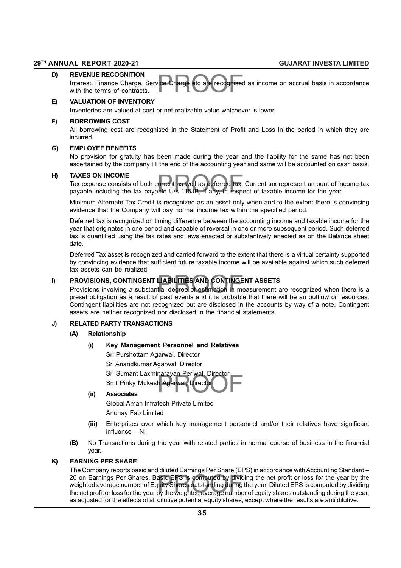#### **D) REVENUE RECOGNITION**

rice Charge etc are recognised<br> Interest, Finance Charge, Service Charge etc are recognised as income on accrual basis in accordance with the terms of contracts.

#### **E) VALUATION OF INVENTORY**

Inventories are valued at cost or net realizable value whichever is lower.

#### **F) BORROWING COST**

All borrowing cost are recognised in the Statement of Profit and Loss in the period in which they are incurred.

#### **G) EMPLOYEE BENEFITS**

No provision for gratuity has been made during the year and the liability for the same has not been ascertained by the company till the end of the accounting year and same will be accounted on cash basis.

#### **H) TAXES ON INCOME**

urrent as well as deferred tax.<br>ble U/s 115JB, if any, in resp Tax expense consists of both current as well as deferred tax. Current tax represent amount of income tax payable including the tax payable U/s 115JB, if any, in respect of taxable income for the year.

Minimum Alternate Tax Credit is recognized as an asset only when and to the extent there is convincing evidence that the Company will pay normal income tax within the specified period.

Deferred tax is recognized on timing difference between the accounting income and taxable income for the year that originates in one period and capable of reversal in one or more subsequent period. Such deferred tax is quantified using the tax rates and laws enacted or substantively enacted as on the Balance sheet date.

Deferred Tax asset is recognized and carried forward to the extent that there is a virtual certainty supported by convincing evidence that sufficient future taxable income will be available against which such deferred tax assets can be realized.

**I)** PROVISIONS, CONTINGENT LIABILITIES AND CONTINGENT ASSETS<br>Provisions involving a substantial degree of estimation in measurement and it is probable that there is Provisions involving a substantial degree of estimation in measurement are recognized when there is a preset obligation as a result of past events and it is probable that there will be an outflow or resources. Contingent liabilities are not recognized but are disclosed in the accounts by way of a note. Contingent assets are neither recognized nor disclosed in the financial statements.

## **J) RELATED PARTY TRANSACTIONS**

## **(A) Relationship**

#### **(i) Key Management Personnel and Relatives**

narayan Penwar, Director<br>h Agarwal, Director Sri Purshottam Agarwal, Director Sri Anandkumar Agarwal, Director Sri Sumant Laxminarayan Periwal, Director Smt Pinky Mukesh Agarwal, Director

#### **(ii) Associates**

Global Aman Infratech Private Limited Anunay Fab Limited

- **(iii)** Enterprises over which key management personnel and/or their relatives have significant influence – Nil
- **(B)** No Transactions during the year with related parties in normal course of business in the financial year.

#### **K) EARNING PER SHARE**

20 on Earnings Per Shares. Basic EPS is computed by dividing the net profit or loss for the year by the weighted average number of Equity Shares outstanding during the year. Diluted EPS is computed by dividing<br>the net prof The Company reports basic and diluted Earnings Per Share (EPS) in accordance with Accounting Standard – weighted average number of Equity Shares outstanding during the year. Diluted EPS is computed by dividing the net profit or loss for the year by the weighted average number of equity shares outstanding during the year, as adjusted for the effects of all dilutive potential equity shares, except where the results are anti dilutive.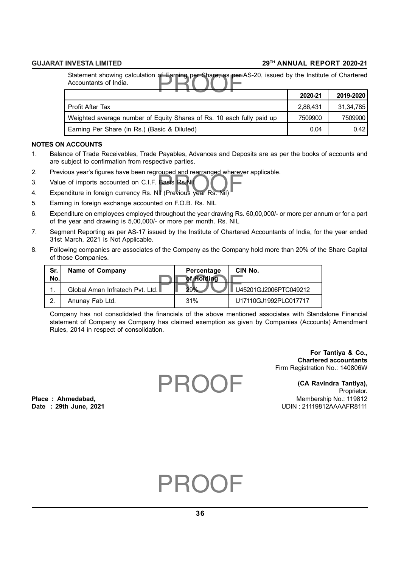Statement showing calculation of Earning per Share, as per AS-20, issued by the Institute of Chartered<br>Accountants of India.<br>2019-2020 Accountants of India.

|                                                                       | 2020-21  | 2019-2020 |
|-----------------------------------------------------------------------|----------|-----------|
| <b>Profit After Tax</b>                                               | 2.86.431 | 31,34,785 |
| Weighted average number of Equity Shares of Rs. 10 each fully paid up | 7509900  | 7509900   |
| Earning Per Share (in Rs.) (Basic & Diluted)                          | 0.04     | 0.421     |

## **NOTES ON ACCOUNTS**

- 1. Balance of Trade Receivables, Trade Payables, Advances and Deposits are as per the books of accounts and are subject to confirmation from respective parties.
- 2. Previous year's figures have been regrouped and rearranged wherever applicable.
- 3. Value of imports accounted on C.I.F. Basis Rs.Nil.
- 2. Provious years ngares nave seem egrouped and reananged where with the Value of imports accounted on C.I.F. Basis Rs. Nil.<br>4. Expenditure in foreign currency Rs. Nil (Previous year Rs. Nil)
- 5. Earning in foreign exchange accounted on F.O.B. Rs. NIL
- 6. Expenditure on employees employed throughout the year drawing Rs. 60,00,000/- or more per annum or for a part of the year and drawing is 5,00,000/- or more per month. Rs. NIL
- 7. Segment Reporting as per AS-17 issued by the Institute of Chartered Accountants of India, for the year ended 31st March, 2021 is Not Applicable.
- 8. Following companies are associates of the Company as the Company hold more than 20% of the Share Capital of those Companies.

| Sr.<br>No. | Name of Company                 | Percentage<br>of Holding | CIN No.               |
|------------|---------------------------------|--------------------------|-----------------------|
| 1          | Global Aman Infratech Pyt. Ltd. | 29%                      | U45201GJ2006PTC049212 |
| 2.         | Anunay Fab Ltd.                 | 31%                      | U17110GJ1992PLC017717 |

Company has not consolidated the financials of the above mentioned associates with Standalone Financial statement of Company as Company has claimed exemption as given by Companies (Accounts) Amendment Rules, 2014 in respect of consolidation.

> **For Tantiya & Co., Chartered accountants** Firm Registration No.: 140806W

**(CA Ravindra Tantiya),** Proprietor. **Place : Ahmedabad,** Membership No.: 119812 **Date : 29th June, 2021** UDIN : 21119812AAAAFR8111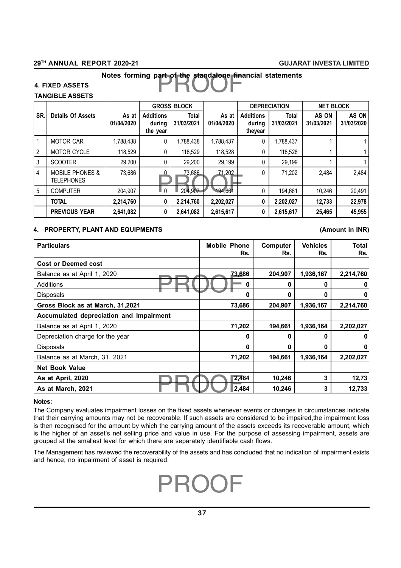# Notes forming part of the standalone financial statements<br> **Notes** forming part of the standalone financial statements

## **4. FIXED ASSETS**

## **TANGIBLE ASSETS**

|                 | <b>GROSS BLOCK</b>                              |                     |                                        | <b>DEPRECIATION</b> | <b>NET BLOCK</b>    |                                       |                            |                     |                     |
|-----------------|-------------------------------------------------|---------------------|----------------------------------------|---------------------|---------------------|---------------------------------------|----------------------------|---------------------|---------------------|
| SR.             | <b>Details Of Assets</b>                        | As at<br>01/04/2020 | <b>Additions</b><br>during<br>the year | Total<br>31/03/2021 | As at<br>01/04/2020 | <b>Additions</b><br>during<br>theyear | <b>Total</b><br>31/03/2021 | AS ON<br>31/03/2021 | AS ON<br>31/03/2020 |
| $\vert$ 1       | <b>MOTOR CAR</b>                                | 1,788,438           | 0                                      | 1,788,438           | 1,788,437           |                                       | 1,788,437                  |                     |                     |
| $\overline{2}$  | MOTOR CYCLE                                     | 118,529             | 0                                      | 118,529             | 118,528             |                                       | 118,528                    |                     |                     |
| $\overline{3}$  | <b>SCOOTER</b>                                  | 29,200              | 0                                      | 29,200              | 29,199              |                                       | 29,199                     |                     |                     |
| $\overline{4}$  | <b>MOBILE PHONES &amp;</b><br><b>TELEPHONES</b> | 73,686              | 0                                      | 73,686              | 71,202              | 0                                     | 71,202                     | 2,484               | 2,484               |
| $5\overline{5}$ | <b>COMPUTER</b>                                 | 204,907             |                                        | 204,907             | 194,661             |                                       | 194.661                    | 10,246              | 20,491              |
|                 | <b>TOTAL</b>                                    | 2,214,760           | 0                                      | 2,214,760           | 2,202,027           | 0                                     | 2,202,027                  | 12,733              | 22,978              |
|                 | <b>PREVIOUS YEAR</b>                            | 2,641,082           | 0                                      | 2,641,082           | 2,615,617           | 0                                     | 2,615,617                  | 25,465              | 45,955              |

### **4. PROPERTY, PLANT AND EQUIPMENTS (Amount in INR)**

| <b>Particulars</b>                      | <b>Mobile Phone</b><br>Rs. | Computer<br>Rs. | <b>Vehicles</b><br>Rs. | <b>Total</b><br>Rs. |
|-----------------------------------------|----------------------------|-----------------|------------------------|---------------------|
| <b>Cost or Deemed cost</b>              |                            |                 |                        |                     |
| Balance as at April 1, 2020             | 73,686                     | 204,907         | 1,936,167              | 2,214,760           |
| Additions                               | 0                          | 0               | 0                      | 0                   |
| Disposals                               | 0                          | 0               | $\bf{0}$               | 0                   |
| Gross Block as at March, 31,2021        | 73,686                     | 204,907         | 1,936,167              | 2,214,760           |
| Accumulated depreciation and Impairment |                            |                 |                        |                     |
| Balance as at April 1, 2020             | 71,202                     | 194,661         | 1,936,164              | 2,202,027           |
| Depreciation charge for the year        | 0                          | 0               | 0                      | 0                   |
| <b>Disposals</b>                        | 0                          | 0               | $\bf{0}$               | 0                   |
| Balance as at March, 31, 2021           | 71,202                     | 194.661         | 1,936,164              | 2,202,027           |
| <b>Net Book Value</b>                   |                            |                 |                        |                     |
| As at April, 2020                       | 2,484                      | 10,246          | 3                      | 12,73               |
| As at March, 2021                       | 2,484                      | 10,246          | 3                      | 12,733              |

#### **Notes:**

The Company evaluates impairment losses on the fixed assets whenever events or changes in circumstances indicate that their carrying amounts may not be recoverable. If such assets are considered to be impaired,the impairment loss is then recognised for the amount by which the carrying amount of the assets exceeds its recoverable amount, which is the higher of an asset's net selling price and value in use. For the purpose of assessing impairment, assets are grouped at the smallest level for which there are separately identifiable cash flows.

The Management has reviewed the recoverability of the assets and has concluded that no indication of impairment exists and hence, no impairment of asset is required.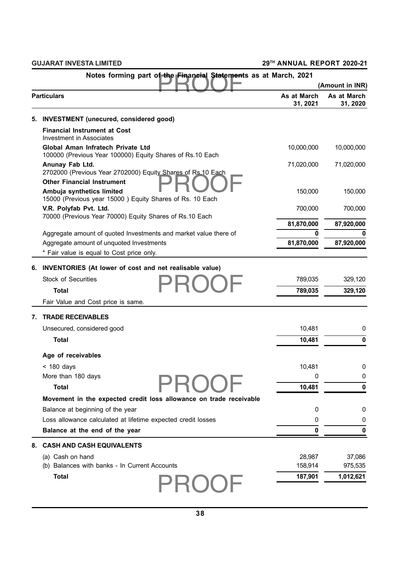|    |                                                                                                       |                         | (Amount in INR)         |
|----|-------------------------------------------------------------------------------------------------------|-------------------------|-------------------------|
|    | <b>Particulars</b>                                                                                    | As at March<br>31, 2021 | As at March<br>31, 2020 |
| 5. | <b>INVESTMENT</b> (unecured, considered good)                                                         |                         |                         |
|    | <b>Financial Instrument at Cost</b><br>Investment in Associates                                       |                         |                         |
|    | <b>Global Aman Infratech Private Ltd</b><br>100000 (Previous Year 100000) Equity Shares of Rs.10 Each | 10,000,000              | 10,000,000              |
|    | Anunay Fab Ltd.<br>2702000 (Previous Year 2702000) Equity Shares of Rs.10 Each                        | 71,020,000              | 71,020,000              |
|    | <b>Other Financial Instrument</b>                                                                     |                         |                         |
|    | Ambuja synthetics limited<br>15000 (Previous year 15000) Equity Shares of Rs. 10 Each                 | 150,000                 | 150,000                 |
|    | V.R. Polyfab Pvt. Ltd.<br>70000 (Previous Year 70000) Equity Shares of Rs.10 Each                     | 700,000                 | 700,000                 |
|    |                                                                                                       | 81,870,000              | 87,920,000              |
|    | Aggregate amount of quoted Investments and market value there of                                      | 0                       | 0                       |
|    | Aggregate amount of unquoted Investments                                                              | 81,870,000              | 87,920,000              |
|    | * Fair value is equal to Cost price only.                                                             |                         |                         |
|    | 6. INVENTORIES (At lower of cost and net realisable value)                                            |                         |                         |
|    | <b>Stock of Securities</b>                                                                            | 789,035                 | 329,120                 |
|    | <b>Total</b>                                                                                          | 789,035                 | 329,120                 |
|    | Fair Value and Cost price is same.                                                                    |                         |                         |
| 7. | <b>TRADE RECEIVABLES</b>                                                                              |                         |                         |
|    | Unsecured, considered good                                                                            | 10,481                  | 0                       |
|    | <b>Total</b>                                                                                          | 10,481                  | $\mathbf 0$             |
|    | Age of receivables                                                                                    |                         |                         |
|    | $<$ 180 days                                                                                          | 10,481                  | 0                       |
|    | More than 180 days                                                                                    | $\mathbf 0$             | $\pmb{0}$               |
|    | <b>Total</b>                                                                                          | 10,481                  | 0                       |
|    | Movement in the expected credit loss allowance on trade receivable                                    |                         |                         |
|    | Balance at beginning of the year                                                                      | 0                       | 0                       |
|    | Loss allowance calculated at lifetime expected credit losses                                          | 0                       | 0                       |
|    | Balance at the end of the year                                                                        | 0                       | 0                       |
| 8. | <b>CASH AND CASH EQUIVALENTS</b>                                                                      |                         |                         |
|    | (a) Cash on hand                                                                                      | 28,987                  | 37,086                  |
|    | (b) Balances with banks - In Current Accounts                                                         | 158,914                 | 975,535                 |
|    | <b>Total</b>                                                                                          | 187,901                 | 1,012,621               |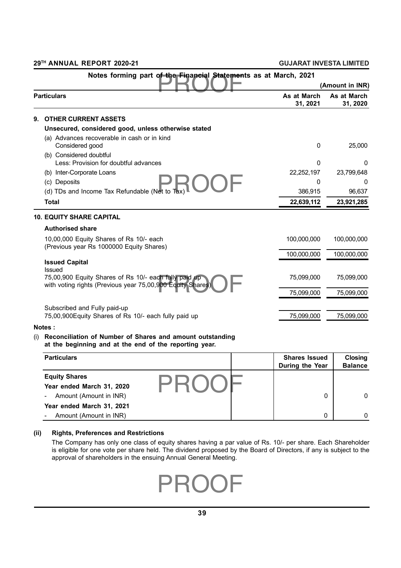|    |                                                                                                                     |                         | (Amount in INR)         |
|----|---------------------------------------------------------------------------------------------------------------------|-------------------------|-------------------------|
|    | <b>Particulars</b>                                                                                                  | As at March<br>31, 2021 | As at March<br>31, 2020 |
| 9. | <b>OTHER CURRENT ASSETS</b>                                                                                         |                         |                         |
|    | Unsecured, considered good, unless otherwise stated                                                                 |                         |                         |
|    | (a) Advances recoverable in cash or in kind<br>Considered good                                                      | $\mathbf 0$             | 25,000                  |
|    | (b) Considered doubtful<br>Less: Provision for doubtful advances                                                    | $\Omega$                | 0                       |
|    | (b) Inter-Corporate Loans                                                                                           | 22,252,197              | 23,799,648              |
|    | (c) Deposits                                                                                                        | 0                       |                         |
|    | (d) TDs and Income Tax Refundable (Net to Tax)                                                                      | 386,915                 | 96,637                  |
|    | <b>Total</b>                                                                                                        | 22,639,112              | 23,921,285              |
|    | <b>10. EQUITY SHARE CAPITAL</b>                                                                                     |                         |                         |
|    | <b>Authorised share</b>                                                                                             |                         |                         |
|    | 10,00,000 Equity Shares of Rs 10/- each<br>(Previous year Rs 1000000 Equity Shares)                                 | 100,000,000             | 100,000,000             |
|    |                                                                                                                     | 100,000,000             | 100,000,000             |
|    | <b>Issued Capital</b><br><b>Issued</b>                                                                              |                         |                         |
|    | 75,00,900 Equity Shares of Rs 10/- each fully paid up<br>with voting rights (Previous year 75,00,900 Equity Shares) | 75,099,000              | 75,099,000              |
|    |                                                                                                                     | 75,099,000              | 75,099,000              |
|    | Subscribed and Fully paid-up                                                                                        |                         |                         |
|    | 75,00,900 Equity Shares of Rs 10/- each fully paid up                                                               | 75,099,000              | 75,099,000              |
|    | Notes:                                                                                                              |                         |                         |
|    | alliation of Nicordoon of Obsesse and as                                                                            |                         |                         |

(i) **Reconciliation of Number of Shares and amount outstanding at the beginning and at the end of the reporting year.**

| <b>Particulars</b>        | <b>Shares Issued</b><br>During the Year | Closing<br><b>Balance</b> |  |
|---------------------------|-----------------------------------------|---------------------------|--|
| <b>Equity Shares</b>      |                                         |                           |  |
| Year ended March 31, 2020 |                                         |                           |  |
| Amount (Amount in INR)    |                                         | $\mathbf{0}$              |  |
| Year ended March 31, 2021 |                                         |                           |  |
| Amount (Amount in INR)    | $\Omega$                                | $\Omega$                  |  |

## **(ii) Rights, Preferences and Restrictions**

The Company has only one class of equity shares having a par value of Rs. 10/- per share. Each Shareholder is eligible for one vote per share held. The dividend proposed by the Board of Directors, if any is subject to the approval of shareholders in the ensuing Annual General Meeting.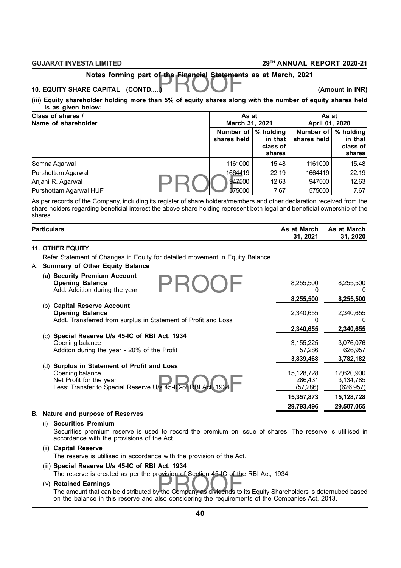# Notes forming part of the Financial Statements as at March, 2021<br>E CAPITAL (CONTD.....)

#### **10. EQUITY SHARE CAPITAL (CONTD.....) (Amount in INR)**

**(iii) Equity shareholder holding more than 5% of equity shares along with the number of equity shares held is as given below:**

| Class of shares /<br>Name of shareholder | As at<br>March 31, 2021  |                                            | As at<br>April 01, 2020                        |                               |
|------------------------------------------|--------------------------|--------------------------------------------|------------------------------------------------|-------------------------------|
|                                          | Number of<br>shares held | % holding<br>in that<br>class of<br>shares | Number of $\frac{1}{2}$ holding<br>shares held | in that<br>class of<br>shares |
| Somna Agarwal                            | 1161000                  | 15.48                                      | 1161000                                        | 15.48                         |
| Purshottam Agarwal                       | 1664419                  | 22.19                                      | 1664419                                        | 22.19                         |
| Anjani R. Agarwal                        | 947500                   | 12.63                                      | 947500                                         | 12.63                         |
| Purshottam Agarwal HUF                   | 575000                   | 7.67                                       | 575000                                         | 7.67                          |

As per records of the Company, including its register of share holders/members and other declaration received from the share holders regarding beneficial interest the above share holding represent both legal and beneficial ownership of the shares.

| <b>Particulars</b>                                                           | As at March<br>31, 2021 | As at March<br>31, 2020 |
|------------------------------------------------------------------------------|-------------------------|-------------------------|
| <b>11. OTHER EQUITY</b>                                                      |                         |                         |
| Refer Statement of Changes in Equity for detailed movement in Equity Balance |                         |                         |
| A. Summary of Other Equity Balance                                           |                         |                         |
| (a) Security Premium Account                                                 |                         |                         |
| <b>Opening Balance</b>                                                       | 8,255,500               | 8,255,500               |
| Add: Addition during the year                                                |                         |                         |
|                                                                              | 8,255,500               | 8,255,500               |
| (b) Capital Reserve Account                                                  |                         |                         |
| <b>Opening Balance</b>                                                       | 2,340,655               | 2,340,655               |
| AddL Transferred from surplus in Statement of Profit and Loss                | O                       | 0                       |
|                                                                              | 2,340,655               | 2,340,655               |
| Special Reserve U/s 45-IC of RBI Act. 1934<br>(C)                            |                         |                         |
| Opening balance                                                              | 3,155,225               | 3,076,076               |
| Additon during the year - 20% of the Profit                                  | 57,286                  | 626,957                 |
|                                                                              | 3,839,468               | 3,782,182               |
| Surplus in Statement of Profit and Loss<br>(d)                               |                         |                         |
| Opening balance                                                              | 15,128,728              | 12,620,900              |
| Net Profit for the year                                                      | 286,431                 | 3,134,785               |
| Less: Transfer to Special Reserve U/s 45-IC-of RBI Act, 1934                 | (57, 286)               | (626, 957)              |
|                                                                              | 15,357,873              | 15,128,728              |
|                                                                              | 29,793,496              | 29,507,065              |
| <b>B.</b> Nature and purpose of Reserves                                     |                         |                         |

#### (i) **Securities Premium**

Securities premium reserve is used to record the premium on issue of shares. The reserve is utillised in accordance with the provisions of the Act.

#### (ii) **Capital Reserve** The reserve is utillised in accordance with the provision of the Act.

#### (iii) **Special Reserve U/s 45-IC of RBI Act. 1934**

The reserve is created as per the provision of Section 45-IC of the RBI Act, 1934

#### (iv) **Retained Earnings**

The reserve is created as per the provision of Section 45-IC of the RBI Act, 1934<br>**Retained Earnings**<br>The amount that can be distributed by the Company as dividends to its Equity Shareholders is deternubed based on the balance in this reserve and also considering the requirements of the Companies Act, 2013.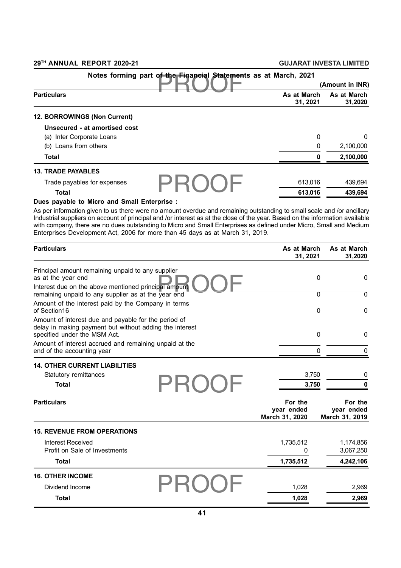| Notes forming part of the Financial Statements as at March, 2021 |                         |                        |
|------------------------------------------------------------------|-------------------------|------------------------|
|                                                                  |                         | (Amount in INR)        |
| <b>Particulars</b>                                               | As at March<br>31, 2021 | As at March<br>31,2020 |
| 12. BORROWINGS (Non Current)                                     |                         |                        |
| Unsecured - at amortised cost                                    |                         |                        |
| (a) Inter Corporate Loans                                        | 0                       | $\mathbf 0$            |
| (b) Loans from others                                            | 0                       | 2,100,000              |
| <b>Total</b>                                                     | 0                       | 2,100,000              |
| <b>13. TRADE PAYABLES</b>                                        |                         |                        |
| Trade payables for expenses                                      | 613.016                 | 439,694                |
| <b>Total</b>                                                     | 613,016                 | 439,694                |

#### **Dues payable to Micro and Small Enterprise :**

As per information given to us there were no amount overdue and remaining outstanding to small scale and /or ancillary Industrial suppliers on account of principal and /or interest as at the close of the year. Based on the information available with company, there are no dues outstanding to Micro and Small Enterprises as defined under Micro, Small and Medium Enterprises Development Act, 2006 for more than 45 days as at March 31, 2019.

| <b>Particulars</b>                                                                                                                              | As at March<br>31, 2021                 | As at March<br>31,2020                  |
|-------------------------------------------------------------------------------------------------------------------------------------------------|-----------------------------------------|-----------------------------------------|
| Principal amount remaining unpaid to any supplier                                                                                               |                                         |                                         |
| as at the year end                                                                                                                              |                                         | $\mathbf 0$<br>$\mathbf{0}$             |
| Interest due on the above mentioned principal amount<br>remaining unpaid to any supplier as at the year end                                     |                                         | 0<br>0                                  |
| Amount of the interest paid by the Company in terms<br>of Section16                                                                             |                                         | $\mathbf{0}$<br>$\mathbf{0}$            |
| Amount of interest due and payable for the period of<br>delay in making payment but without adding the interest<br>specified under the MSM Act. |                                         | $\mathbf 0$<br>$\mathbf{0}$             |
| Amount of interest accrued and remaining unpaid at the<br>end of the accounting year                                                            | 0                                       |                                         |
| <b>14. OTHER CURRENT LIABILITIES</b>                                                                                                            |                                         |                                         |
| Statutory remittances                                                                                                                           | 3,750                                   | 0                                       |
| <b>Total</b>                                                                                                                                    | 3,750                                   |                                         |
| <b>Particulars</b>                                                                                                                              | For the<br>year ended<br>March 31, 2020 | For the<br>year ended<br>March 31, 2019 |
| <b>15. REVENUE FROM OPERATIONS</b>                                                                                                              |                                         |                                         |
| Interest Received                                                                                                                               | 1,735,512                               | 1,174,856                               |
| Profit on Sale of Investments                                                                                                                   | 0                                       | 3,067,250                               |
| Total                                                                                                                                           | 1,735,512                               | 4,242,106                               |
| <b>16. OTHER INCOME</b>                                                                                                                         |                                         |                                         |
| Dividend Income                                                                                                                                 | 1,028                                   | 2,969                                   |
| <b>Total</b>                                                                                                                                    | 1,028                                   | 2,969                                   |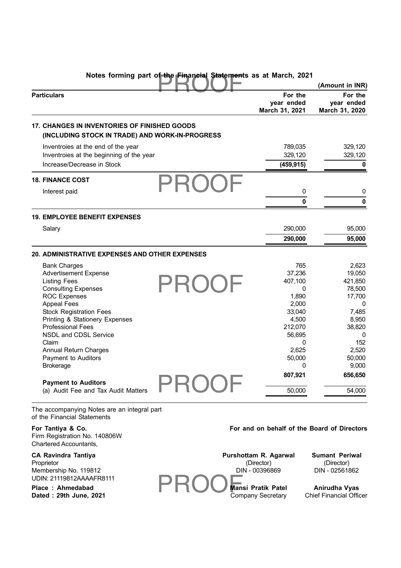|                                                                                                        |                                         | (Amount in INR)                         |
|--------------------------------------------------------------------------------------------------------|-----------------------------------------|-----------------------------------------|
| <b>Particulars</b>                                                                                     | For the<br>year ended<br>March 31, 2021 | For the<br>year ended<br>March 31, 2020 |
| <b>17. CHANGES IN INVENTORIES OF FINISHED GOODS</b><br>(INCLUDING STOCK IN TRADE) AND WORK-IN-PROGRESS |                                         |                                         |
| Inventroies at the end of the year                                                                     | 789,035                                 | 329,120                                 |
| Inventroies at the beginning of the year                                                               | 329,120                                 | 329,120                                 |
| Increase/Decrease in Stock                                                                             | (459, 915)                              | 0                                       |
| <b>18. FINANCE COST</b>                                                                                |                                         |                                         |
| Interest paid                                                                                          | $\pmb{0}$                               | 0                                       |
|                                                                                                        | 0                                       | 0                                       |
| <b>19. EMPLOYEE BENEFIT EXPENSES</b>                                                                   |                                         |                                         |
| Salary                                                                                                 | 290,000                                 | 95,000                                  |
|                                                                                                        | 290,000                                 | 95,000                                  |
| <b>20. ADMINISTRATIVE EXPENSES AND OTHER EXPENSES</b>                                                  |                                         |                                         |
| <b>Bank Charges</b>                                                                                    | 765                                     | 2,623                                   |
| <b>Advertisement Expense</b>                                                                           | 37,236                                  | 19,050                                  |
| <b>Listing Fees</b>                                                                                    | 407,100                                 | 421,850                                 |
| <b>Consulting Expenses</b>                                                                             | 0                                       | 78,500                                  |
| <b>ROC Expenses</b>                                                                                    | 1,890                                   | 17,700                                  |
| <b>Appeal Fees</b>                                                                                     | 2,000                                   | 0                                       |
| <b>Stock Registration Fees</b>                                                                         | 33,040                                  | 7,485                                   |
| Printing & Stationery Expenses                                                                         | 4,500                                   | 8,950                                   |
| <b>Professional Fees</b>                                                                               | 212,070                                 | 38,820                                  |
| NSDL and CDSL Service                                                                                  | 56,695                                  | 0                                       |
| Claim                                                                                                  | 0                                       | 152                                     |
| <b>Annual Return Charges</b>                                                                           | 2,625                                   | 2,520                                   |
| Payment to Auditors                                                                                    | 50,000                                  | 50,000                                  |
| <b>Brokerage</b>                                                                                       | 0                                       | 9,000                                   |
| <b>Payment to Auditors</b>                                                                             | 807,921                                 | 656,650                                 |
| (a) Audit Fee and Tax Audit Matters                                                                    | 50,000                                  | 54,000                                  |

The accompanying Notes are an integral part of the Financial Statements

Firm Registration No. 140806W Chartered Accountants,

## For Tantiya & Co. **For and on behalf of the Board of Directors**

| <b>CA Ravindra Tantiya</b> | Purshottam R. Agarwal | <b>Sumant Periwal</b>          |
|----------------------------|-----------------------|--------------------------------|
| Proprietor                 | (Director)            | (Director)                     |
| Membership No. 119812      | DIN - 00396869        | DIN - 02561862                 |
| UDIN: 21119812AAAAFR8111   |                       |                                |
| Place: Ahmedabad           | Mansi Pratik Patel    | Anirudha Vyas                  |
| Dated: 29th June, 2021     | Company Secretary     | <b>Chief Financial Officer</b> |
|                            |                       |                                |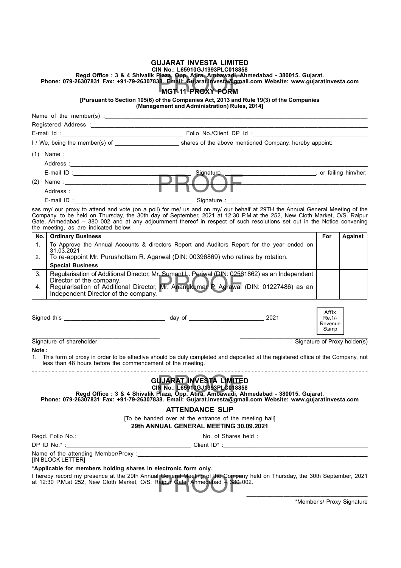#### **GUJARAT INVESTA LIMITED**

#### **CIN No.: L65910GJ1993PLC018858**

Plaza, Opp. Atira, Ambawadi, A<br>38. Email: Gujarat.investa@gma<br>MGT-11 PROXY FORM **Regd Office : 3 & 4 Shivalik Plaza, Opp. Atira, Ambawadi, Ahmedabad - 380015. Gujarat.**

**Phone: 079-26307831 Fax: +91-79-26307838. Email: Gujarat.investa@gmail.com Website: www.gujaratinvesta.com**

## **MGT-11 PROXY FORM**

**[Pursuant to Section 105(6) of the Companies Act, 2013 and Rule 19(3) of the Companies**

**(Management and Administration) Rules, 2014]**

| (2)                      |                                                                                                                                                                                                                                                                                                                                                                                                                           |                                     |                              |  |  |  |
|--------------------------|---------------------------------------------------------------------------------------------------------------------------------------------------------------------------------------------------------------------------------------------------------------------------------------------------------------------------------------------------------------------------------------------------------------------------|-------------------------------------|------------------------------|--|--|--|
|                          |                                                                                                                                                                                                                                                                                                                                                                                                                           |                                     |                              |  |  |  |
|                          |                                                                                                                                                                                                                                                                                                                                                                                                                           |                                     |                              |  |  |  |
|                          | sas my/ our proxy to attend and vote (on a poll) for me/ us and on my/ our behalf at 29TH the Annual General Meeting of the<br>Company, to be held on Thursday, the 30th day of September, 2021 at 12:30 P.M.at the 252, New Cloth Market, O/S. Raipur<br>Gate, Ahmedabad - 380 002 and at any adjournment thereof in respect of such resolutions set out in the Notice convening<br>the meeting, as are indicated below: |                                     |                              |  |  |  |
| No.                      | <b>Ordinary Business</b>                                                                                                                                                                                                                                                                                                                                                                                                  | For                                 | Against                      |  |  |  |
| 1.<br>31.03.2021         | To Approve the Annual Accounts & directors Report and Auditors Report for the year ended on                                                                                                                                                                                                                                                                                                                               |                                     |                              |  |  |  |
| 2.                       | To re-appoint Mr. Purushottam R. Agarwal (DIN: 00396869) who retires by rotation.                                                                                                                                                                                                                                                                                                                                         |                                     |                              |  |  |  |
|                          | <b>Special Business</b>                                                                                                                                                                                                                                                                                                                                                                                                   |                                     |                              |  |  |  |
| 3.                       | Regularisation of Additional Director, Mr. Sumant L. Periwal (DIN: 02561862) as an Independent                                                                                                                                                                                                                                                                                                                            |                                     |                              |  |  |  |
| 4.                       | Director of the company.<br>Regularisation of Additional Director, Mr. Anandkumar P. Agrawal (DIN: 01227486) as an<br>Independent Director of the company.<br>the control of the control of the control of the control of the control of the control of                                                                                                                                                                   |                                     |                              |  |  |  |
|                          |                                                                                                                                                                                                                                                                                                                                                                                                                           | Affix<br>Re.1/-<br>Revenue<br>Stamp |                              |  |  |  |
| Signature of shareholder |                                                                                                                                                                                                                                                                                                                                                                                                                           |                                     | Signature of Proxy holder(s) |  |  |  |
| Note:                    |                                                                                                                                                                                                                                                                                                                                                                                                                           |                                     |                              |  |  |  |
|                          | 1. This form of proxy in order to be effective should be duly completed and deposited at the registered office of the Company, not<br>less than 48 hours before the commencement of the meeting.                                                                                                                                                                                                                          |                                     |                              |  |  |  |
|                          | <b>GUJARAT INVESTA LIMITED</b><br>CIN No.: L65910GJ1993PLC018858<br>Regd Office: 3 & 4 Shivalik Plaza, Opp. Atira, Ambawadi, Ahmedabad - 380015. Gujarat.<br>Phone: 079-26307831 Fax: +91-79-26307838. Email: Gujarat.investa@gmail.com Website: www.gujaratinvesta.com                                                                                                                                                   |                                     |                              |  |  |  |
|                          | <b>ATTENDANCE SLIP</b>                                                                                                                                                                                                                                                                                                                                                                                                    |                                     |                              |  |  |  |
|                          | [To be handed over at the entrance of the meeting hall]                                                                                                                                                                                                                                                                                                                                                                   |                                     |                              |  |  |  |
|                          | 29th ANNUAL GENERAL MEETING 30.09.2021                                                                                                                                                                                                                                                                                                                                                                                    |                                     |                              |  |  |  |
|                          |                                                                                                                                                                                                                                                                                                                                                                                                                           |                                     |                              |  |  |  |
|                          |                                                                                                                                                                                                                                                                                                                                                                                                                           |                                     |                              |  |  |  |
| [IN BLOCK LETTER]        |                                                                                                                                                                                                                                                                                                                                                                                                                           |                                     |                              |  |  |  |
|                          | *Applicable for members holding shares in electronic form only.                                                                                                                                                                                                                                                                                                                                                           |                                     |                              |  |  |  |
|                          | I hereby record my presence at the 29th Annual General Meeting of the Company held on Thursday, the 30th September, 2021<br>at 12:30 P.M.at 252, New Cloth Market, O/S. Raipur Gate, Ahmedabad - 380 002.                                                                                                                                                                                                                 |                                     |                              |  |  |  |
|                          |                                                                                                                                                                                                                                                                                                                                                                                                                           |                                     |                              |  |  |  |

\*Member's/ Proxy Signature